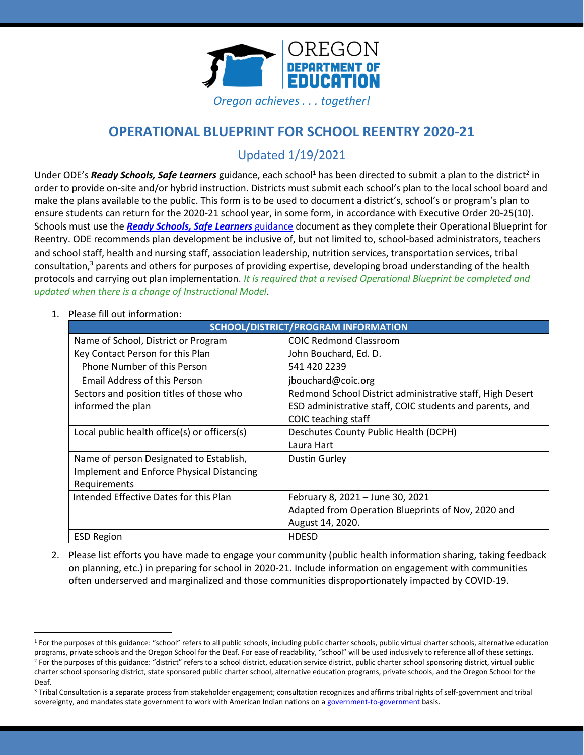

# **OPERATIONAL BLUEPRINT FOR SCHOOL REENTRY 2020-21**

Updated 1/19/2021

Under ODE's *Ready Schools, Safe Learners* guidance, each school<sup>1</sup> has been directed to submit a plan to the district<sup>2</sup> in order to provide on-site and/or hybrid instruction. Districts must submit each school's plan to the local school board and make the plans available to the public. This form is to be used to document a district's, school's or program's plan to ensure students can return for the 2020-21 school year, in some form, in accordance with Executive Order 20-25(10). Schools must use the *[Ready Schools, Safe Learners](https://www.oregon.gov/ode/students-and-family/healthsafety/Documents/Ready%20Schools%20Safe%20Learners%202020-21%20Guidance.pdf)* guidance document as they complete their Operational Blueprint for Reentry. ODE recommends plan development be inclusive of, but not limited to, school-based administrators, teachers and school staff, health and nursing staff, association leadership, nutrition services, transportation services, tribal consultation, <sup>3</sup> parents and others for purposes of providing expertise, developing broad understanding of the health protocols and carrying out plan implementation. *It is required that a revised Operational Blueprint be completed and updated when there is a change of Instructional Model*.

| SCHOOL/DISTRICT/PROGRAM INFORMATION                                                                  |                                                                                                                                              |  |
|------------------------------------------------------------------------------------------------------|----------------------------------------------------------------------------------------------------------------------------------------------|--|
| Name of School, District or Program                                                                  | <b>COIC Redmond Classroom</b>                                                                                                                |  |
| Key Contact Person for this Plan                                                                     | John Bouchard, Ed. D.                                                                                                                        |  |
| Phone Number of this Person                                                                          | 541 420 2239                                                                                                                                 |  |
| <b>Email Address of this Person</b>                                                                  | jbouchard@coic.org                                                                                                                           |  |
| Sectors and position titles of those who<br>informed the plan                                        | Redmond School District administrative staff, High Desert<br>ESD administrative staff, COIC students and parents, and<br>COIC teaching staff |  |
| Local public health office(s) or officers(s)                                                         | Deschutes County Public Health (DCPH)<br>Laura Hart                                                                                          |  |
| Name of person Designated to Establish,<br>Implement and Enforce Physical Distancing<br>Requirements | Dustin Gurley                                                                                                                                |  |
| Intended Effective Dates for this Plan                                                               | February 8, 2021 - June 30, 2021<br>Adapted from Operation Blueprints of Nov, 2020 and<br>August 14, 2020.                                   |  |
| <b>ESD Region</b>                                                                                    | <b>HDESD</b>                                                                                                                                 |  |

1. Please fill out information:

 $\overline{a}$ 

2. Please list efforts you have made to engage your community (public health information sharing, taking feedback on planning, etc.) in preparing for school in 2020-21. Include information on engagement with communities often underserved and marginalized and those communities disproportionately impacted by COVID-19.

<sup>&</sup>lt;sup>1</sup> For the purposes of this guidance: "school" refers to all public schools, including public charter schools, public virtual charter schools, alternative education programs, private schools and the Oregon School for the Deaf. For ease of readability, "school" will be used inclusively to reference all of these settings. <sup>2</sup> For the purposes of this guidance: "district" refers to a school district, education service district, public charter school sponsoring district, virtual public charter school sponsoring district, state sponsored public charter school, alternative education programs, private schools, and the Oregon School for the Deaf.

<sup>&</sup>lt;sup>3</sup> Tribal Consultation is a separate process from stakeholder engagement; consultation recognizes and affirms tribal rights of self-government and tribal sovereignty, and mandates state government to work with American Indian nations on [a government-to-government](http://www.nrc4tribes.org/files/Tab%209_9H%20Oregon%20SB770.pdf) basis.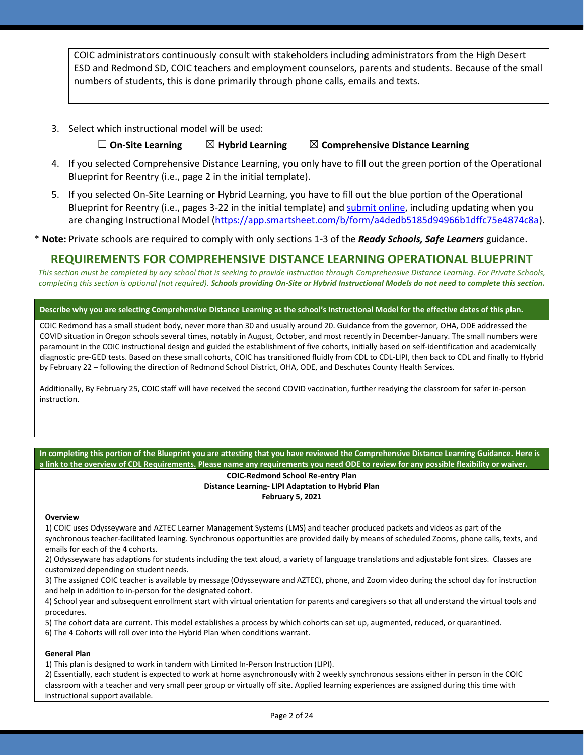COIC administrators continuously consult with stakeholders including administrators from the High Desert ESD and Redmond SD, COIC teachers and employment counselors, parents and students. Because of the small numbers of students, this is done primarily through phone calls, emails and texts.

3. Select which instructional model will be used:

### ☐ **On-Site Learning** ☒ **Hybrid Learning** ☒ **Comprehensive Distance Learning**

- 4. If you selected Comprehensive Distance Learning, you only have to fill out the green portion of the Operational Blueprint for Reentry (i.e., page 2 in the initial template).
- 5. If you selected On-Site Learning or Hybrid Learning, you have to fill out the blue portion of the Operational Blueprint for Reentry (i.e., pages 3-22 in the initial template) an[d submit](https://app.smartsheet.com/b/form/a4dedb5185d94966b1dffc75e4874c8a) online, including updating when you are changing Instructional Model [\(https://app.smartsheet.com/b/form/a4dedb5185d94966b1dffc75e4874c8a\)](https://app.smartsheet.com/b/form/a4dedb5185d94966b1dffc75e4874c8a).

\* **Note:** Private schools are required to comply with only sections 1-3 of the *Ready Schools, Safe Learners* guidance.

## **REQUIREMENTS FOR COMPREHENSIVE DISTANCE LEARNING OPERATIONAL BLUEPRINT**

*This section must be completed by any school that is seeking to provide instruction through Comprehensive Distance Learning. For Private Schools, completing this section is optional (not required). Schools providing On-Site or Hybrid Instructional Models do not need to complete this section.*

### **Describe why you are selecting Comprehensive Distance Learning as the school's Instructional Model for the effective dates of this plan.**

COIC Redmond has a small student body, never more than 30 and usually around 20. Guidance from the governor, OHA, ODE addressed the COVID situation in Oregon schools several times, notably in August, October, and most recently in December-January. The small numbers were paramount in the COIC instructional design and guided the establishment of five cohorts, initially based on self-identification and academically diagnostic pre-GED tests. Based on these small cohorts, COIC has transitioned fluidly from CDL to CDL-LIPI, then back to CDL and finally to Hybrid by February 22 – following the direction of Redmond School District, OHA, ODE, and Deschutes County Health Services.

Additionally, By February 25, COIC staff will have received the second COVID vaccination, further readying the classroom for safer in-person instruction.

### **In completing this portion of the Blueprint you are attesting that you have reviewed the Comprehensive Distance Learning Guidance[. Here is](https://www.oregon.gov/ode/students-and-family/healthsafety/Documents/Comprehensive%20Distance%20Learning%20Requirements%20Review.pdf)  [a link to the overview of CDL Requirements.](https://www.oregon.gov/ode/students-and-family/healthsafety/Documents/Comprehensive%20Distance%20Learning%20Requirements%20Review.pdf) Please name any requirements you need ODE to review for any possible flexibility or waiver.**

### **COIC-Redmond School Re-entry Plan Distance Learning- LIPI Adaptation to Hybrid Plan February 5, 2021**

### **Overview**

1) COIC uses Odysseyware and AZTEC Learner Management Systems (LMS) and teacher produced packets and videos as part of the synchronous teacher-facilitated learning. Synchronous opportunities are provided daily by means of scheduled Zooms, phone calls, texts, and emails for each of the 4 cohorts.

2) Odysseyware has adaptions for students including the text aloud, a variety of language translations and adjustable font sizes. Classes are customized depending on student needs.

3) The assigned COIC teacher is available by message (Odysseyware and AZTEC), phone, and Zoom video during the school day for instruction and help in addition to in-person for the designated cohort.

4) School year and subsequent enrollment start with virtual orientation for parents and caregivers so that all understand the virtual tools and procedures.

5) The cohort data are current. This model establishes a process by which cohorts can set up, augmented, reduced, or quarantined.

6) The 4 Cohorts will roll over into the Hybrid Plan when conditions warrant.

### **General Plan**

1) This plan is designed to work in tandem with Limited In-Person Instruction (LIPI).

2) Essentially, each student is expected to work at home asynchronously with 2 weekly synchronous sessions either in person in the COIC classroom with a teacher and very small peer group or virtually off site. Applied learning experiences are assigned during this time with instructional support available.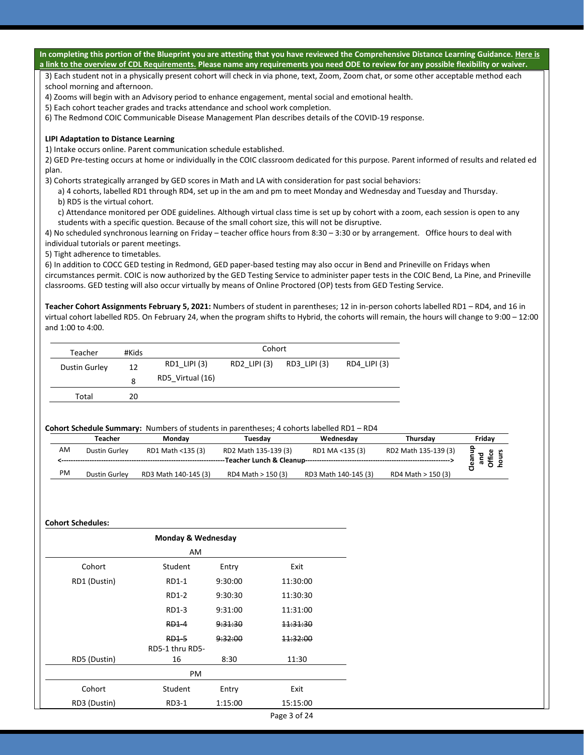|       |                                          |                                                                                                                     |                             |              |                      | In completing this portion of the Blueprint you are attesting that you have reviewed the Comprehensive Distance Learning Guidance. Here is<br>a link to the overview of CDL Requirements. Please name any requirements you need ODE to review for any possible flexibility or waiver. |                                   |
|-------|------------------------------------------|---------------------------------------------------------------------------------------------------------------------|-----------------------------|--------------|----------------------|---------------------------------------------------------------------------------------------------------------------------------------------------------------------------------------------------------------------------------------------------------------------------------------|-----------------------------------|
|       |                                          |                                                                                                                     |                             |              |                      | 3) Each student not in a physically present cohort will check in via phone, text, Zoom, Zoom chat, or some other acceptable method each                                                                                                                                               |                                   |
|       | school morning and afternoon.            |                                                                                                                     |                             |              |                      |                                                                                                                                                                                                                                                                                       |                                   |
|       |                                          | 4) Zooms will begin with an Advisory period to enhance engagement, mental social and emotional health.              |                             |              |                      |                                                                                                                                                                                                                                                                                       |                                   |
|       |                                          | 5) Each cohort teacher grades and tracks attendance and school work completion.                                     |                             |              |                      |                                                                                                                                                                                                                                                                                       |                                   |
|       |                                          | 6) The Redmond COIC Communicable Disease Management Plan describes details of the COVID-19 response.                |                             |              |                      |                                                                                                                                                                                                                                                                                       |                                   |
|       | LIPI Adaptation to Distance Learning     |                                                                                                                     |                             |              |                      |                                                                                                                                                                                                                                                                                       |                                   |
|       |                                          | 1) Intake occurs online. Parent communication schedule established.                                                 |                             |              |                      |                                                                                                                                                                                                                                                                                       |                                   |
| plan. |                                          |                                                                                                                     |                             |              |                      | 2) GED Pre-testing occurs at home or individually in the COIC classroom dedicated for this purpose. Parent informed of results and related ed                                                                                                                                         |                                   |
|       |                                          | 3) Cohorts strategically arranged by GED scores in Math and LA with consideration for past social behaviors:        |                             |              |                      |                                                                                                                                                                                                                                                                                       |                                   |
|       | b) RD5 is the virtual cohort.            |                                                                                                                     |                             |              |                      | a) 4 cohorts, labelled RD1 through RD4, set up in the am and pm to meet Monday and Wednesday and Tuesday and Thursday.                                                                                                                                                                |                                   |
|       |                                          |                                                                                                                     |                             |              |                      | c) Attendance monitored per ODE guidelines. Although virtual class time is set up by cohort with a zoom, each session is open to any                                                                                                                                                  |                                   |
|       |                                          | students with a specific question. Because of the small cohort size, this will not be disruptive.                   |                             |              |                      |                                                                                                                                                                                                                                                                                       |                                   |
|       |                                          |                                                                                                                     |                             |              |                      | 4) No scheduled synchronous learning on Friday - teacher office hours from 8:30 - 3:30 or by arrangement. Office hours to deal with                                                                                                                                                   |                                   |
|       | individual tutorials or parent meetings. |                                                                                                                     |                             |              |                      |                                                                                                                                                                                                                                                                                       |                                   |
|       | 5) Tight adherence to timetables.        |                                                                                                                     |                             |              |                      |                                                                                                                                                                                                                                                                                       |                                   |
|       |                                          |                                                                                                                     |                             |              |                      | 6) In addition to COCC GED testing in Redmond, GED paper-based testing may also occur in Bend and Prineville on Fridays when                                                                                                                                                          |                                   |
|       |                                          |                                                                                                                     |                             |              |                      | circumstances permit. COIC is now authorized by the GED Testing Service to administer paper tests in the COIC Bend, La Pine, and Prineville                                                                                                                                           |                                   |
|       |                                          | classrooms. GED testing will also occur virtually by means of Online Proctored (OP) tests from GED Testing Service. |                             |              |                      |                                                                                                                                                                                                                                                                                       |                                   |
|       | Teacher                                  | #Kids                                                                                                               |                             | Cohort       |                      |                                                                                                                                                                                                                                                                                       |                                   |
|       | <b>Dustin Gurley</b>                     | RD1_LIPI (3)<br>12                                                                                                  | RD2 LIPI (3)                | RD3 LIPI (3) | RD4 LIPI (3)         |                                                                                                                                                                                                                                                                                       |                                   |
|       |                                          | RD5_Virtual (16)<br>8                                                                                               |                             |              |                      |                                                                                                                                                                                                                                                                                       |                                   |
|       | Total                                    | 20                                                                                                                  |                             |              |                      |                                                                                                                                                                                                                                                                                       |                                   |
|       |                                          |                                                                                                                     |                             |              |                      |                                                                                                                                                                                                                                                                                       |                                   |
|       |                                          | Cohort Schedule Summary: Numbers of students in parentheses; 4 cohorts labelled RD1 - RD4                           |                             |              |                      |                                                                                                                                                                                                                                                                                       |                                   |
|       | <b>Teacher</b>                           | Monday                                                                                                              | Tuesday                     |              | Wednesday            | Thursday                                                                                                                                                                                                                                                                              | Friday                            |
| AM    | Dustin Gurley                            | RD1 Math <135 (3)                                                                                                   | RD2 Math 135-139 (3)        |              | RD1 MA <135 (3)      | RD2 Math 135-139 (3)                                                                                                                                                                                                                                                                  |                                   |
|       |                                          |                                                                                                                     | -Teacher Lunch & Cleanup--- |              |                      |                                                                                                                                                                                                                                                                                       | Cleanup<br>Office<br>hours<br>and |
| PM    | Dustin Gurley                            | RD3 Math 140-145 (3)                                                                                                | RD4 Math > 150 (3)          |              | RD3 Math 140-145 (3) | RD4 Math > 150 (3)                                                                                                                                                                                                                                                                    |                                   |
|       |                                          |                                                                                                                     |                             |              |                      |                                                                                                                                                                                                                                                                                       |                                   |
|       |                                          |                                                                                                                     |                             |              |                      |                                                                                                                                                                                                                                                                                       |                                   |
|       | <b>Cohort Schedules:</b>                 | Monday & Wednesday                                                                                                  |                             |              |                      |                                                                                                                                                                                                                                                                                       |                                   |
|       |                                          | AM                                                                                                                  |                             |              |                      |                                                                                                                                                                                                                                                                                       |                                   |
|       | Cohort                                   | Student                                                                                                             | Entry                       | Exit         |                      |                                                                                                                                                                                                                                                                                       |                                   |
|       | RD1 (Dustin)                             | RD1-1                                                                                                               | 9:30:00                     | 11:30:00     |                      |                                                                                                                                                                                                                                                                                       |                                   |
|       |                                          | RD1-2                                                                                                               | 9:30:30                     | 11:30:30     |                      |                                                                                                                                                                                                                                                                                       |                                   |
|       |                                          | RD1-3                                                                                                               | 9:31:00                     | 11:31:00     |                      |                                                                                                                                                                                                                                                                                       |                                   |
|       |                                          |                                                                                                                     |                             |              |                      |                                                                                                                                                                                                                                                                                       |                                   |
|       |                                          | <b>RD1-4</b>                                                                                                        | 9:31:30                     | 11:31:30     |                      |                                                                                                                                                                                                                                                                                       |                                   |
|       |                                          | <b>RD1-5</b>                                                                                                        | 9:32:00                     | 11:32:00     |                      |                                                                                                                                                                                                                                                                                       |                                   |

Page 3 of 24

16 8:30 11:30

RD5 (Dustin)

RD5-1 thru RD5-

PM Cohort Student Entry Exit RD3 (Dustin) RD3-1 1:15:00 15:15:00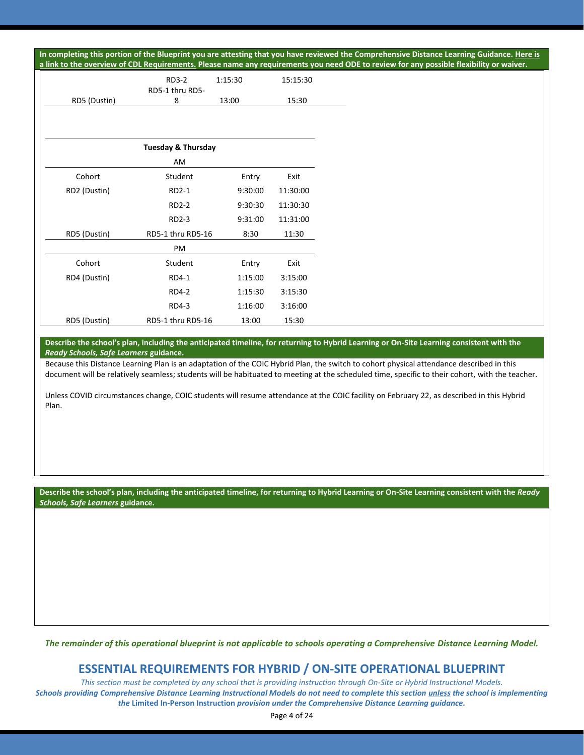**In completing this portion of the Blueprint you are attesting that you have reviewed the Comprehensive Distance Learning Guidance[. Here is](https://www.oregon.gov/ode/students-and-family/healthsafety/Documents/Comprehensive%20Distance%20Learning%20Requirements%20Review.pdf)  p review for any possible flexibility or waiver.** 

| a link to the overview of CDL Requirements. Please name any requirements you need ODE to |                                 |         |          |
|------------------------------------------------------------------------------------------|---------------------------------|---------|----------|
|                                                                                          | <b>RD3-2</b><br>RD5-1 thru RD5- | 1:15:30 | 15:15:30 |
| RD5 (Dustin)                                                                             | 8                               | 13:00   | 15:30    |
|                                                                                          |                                 |         |          |
|                                                                                          | <b>Tuesday &amp; Thursday</b>   |         |          |
|                                                                                          | AM                              |         |          |
| Cohort                                                                                   | Student                         | Entry   | Exit     |
| RD2 (Dustin)                                                                             | RD2-1                           | 9:30:00 | 11:30:00 |
|                                                                                          | RD2-2                           | 9:30:30 | 11:30:30 |
|                                                                                          | RD2-3                           | 9:31:00 | 11:31:00 |
| RD5 (Dustin)                                                                             | RD5-1 thru RD5-16               | 8:30    | 11:30    |
|                                                                                          | PM                              |         |          |

| Cohort       | Student           | Entry   | Exit    |
|--------------|-------------------|---------|---------|
| RD4 (Dustin) | RD4-1             | 1:15:00 | 3:15:00 |
|              | <b>RD4-2</b>      | 1:15:30 | 3:15:30 |
|              | RD4-3             | 1:16:00 | 3:16:00 |
| RD5 (Dustin) | RD5-1 thru RD5-16 | 13:00   | 15:30   |

**Describe the school's plan, including the anticipated timeline, for returning to Hybrid Learning or On-Site Learning consistent with the**  *Ready Schools, Safe Learners* **guidance.**

Because this Distance Learning Plan is an adaptation of the COIC Hybrid Plan, the switch to cohort physical attendance described in this document will be relatively seamless; students will be habituated to meeting at the scheduled time, specific to their cohort, with the teacher.

Unless COVID circumstances change, COIC students will resume attendance at the COIC facility on February 22, as described in this Hybrid Plan.

**Describe the school's plan, including the anticipated timeline, for returning to Hybrid Learning or On-Site Learning consistent with the** *Ready Schools, Safe Learners* **guidance.**

*The remainder of this operational blueprint is not applicable to schools operating a Comprehensive Distance Learning Model.*

## **ESSENTIAL REQUIREMENTS FOR HYBRID / ON-SITE OPERATIONAL BLUEPRINT**

*This section must be completed by any school that is providing instruction through On-Site or Hybrid Instructional Models. Schools providing Comprehensive Distance Learning Instructional Models do not need to complete this section unless the school is implementing the* **Limited In-Person Instruction** *provision under the Comprehensive Distance Learning guidance.*

Page 4 of 24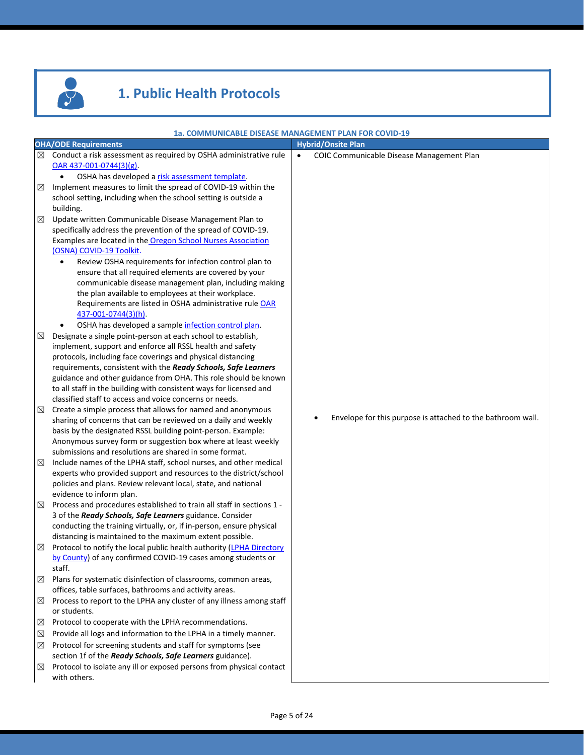

# **1. Public Health Protocols**

|             |                                                                                                                                                                                                                                                                                                                                                                                                                                                                                                                                                                                                                     | 1a. COMMUNICABLE DISEASE MANAGEMENT PLAN FOR COVID-19       |
|-------------|---------------------------------------------------------------------------------------------------------------------------------------------------------------------------------------------------------------------------------------------------------------------------------------------------------------------------------------------------------------------------------------------------------------------------------------------------------------------------------------------------------------------------------------------------------------------------------------------------------------------|-------------------------------------------------------------|
|             | <b>OHA/ODE Requirements</b>                                                                                                                                                                                                                                                                                                                                                                                                                                                                                                                                                                                         | <b>Hybrid/Onsite Plan</b>                                   |
| ⊠           | Conduct a risk assessment as required by OSHA administrative rule<br>$OAR$ 437-001-0744(3)(g).<br>OSHA has developed a risk assessment template.<br>$\bullet$                                                                                                                                                                                                                                                                                                                                                                                                                                                       | $\bullet$<br>COIC Communicable Disease Management Plan      |
| ⊠           | Implement measures to limit the spread of COVID-19 within the<br>school setting, including when the school setting is outside a                                                                                                                                                                                                                                                                                                                                                                                                                                                                                     |                                                             |
| $\boxtimes$ | building.<br>Update written Communicable Disease Management Plan to<br>specifically address the prevention of the spread of COVID-19.<br>Examples are located in the Oregon School Nurses Association<br>(OSNA) COVID-19 Toolkit.<br>Review OSHA requirements for infection control plan to<br>٠<br>ensure that all required elements are covered by your<br>communicable disease management plan, including making<br>the plan available to employees at their workplace.<br>Requirements are listed in OSHA administrative rule OAR<br>437-001-0744(3)(h).<br>OSHA has developed a sample infection control plan. |                                                             |
| ⊠           | Designate a single point-person at each school to establish,<br>implement, support and enforce all RSSL health and safety<br>protocols, including face coverings and physical distancing<br>requirements, consistent with the Ready Schools, Safe Learners<br>guidance and other guidance from OHA. This role should be known<br>to all staff in the building with consistent ways for licensed and<br>classified staff to access and voice concerns or needs.                                                                                                                                                      |                                                             |
| ⊠           | Create a simple process that allows for named and anonymous<br>sharing of concerns that can be reviewed on a daily and weekly<br>basis by the designated RSSL building point-person. Example:<br>Anonymous survey form or suggestion box where at least weekly<br>submissions and resolutions are shared in some format.                                                                                                                                                                                                                                                                                            | Envelope for this purpose is attached to the bathroom wall. |
| $\boxtimes$ | Include names of the LPHA staff, school nurses, and other medical<br>experts who provided support and resources to the district/school<br>policies and plans. Review relevant local, state, and national<br>evidence to inform plan.                                                                                                                                                                                                                                                                                                                                                                                |                                                             |
| ⊠           | Process and procedures established to train all staff in sections 1 -<br>3 of the Ready Schools, Safe Learners guidance. Consider<br>conducting the training virtually, or, if in-person, ensure physical<br>distancing is maintained to the maximum extent possible.                                                                                                                                                                                                                                                                                                                                               |                                                             |
| ⊠           | Protocol to notify the local public health authority (LPHA Directory<br>by County) of any confirmed COVID-19 cases among students or<br>staff.                                                                                                                                                                                                                                                                                                                                                                                                                                                                      |                                                             |
| $\boxtimes$ | Plans for systematic disinfection of classrooms, common areas,<br>offices, table surfaces, bathrooms and activity areas.                                                                                                                                                                                                                                                                                                                                                                                                                                                                                            |                                                             |
| ⊠           | Process to report to the LPHA any cluster of any illness among staff<br>or students.                                                                                                                                                                                                                                                                                                                                                                                                                                                                                                                                |                                                             |
| ⊠           | Protocol to cooperate with the LPHA recommendations.                                                                                                                                                                                                                                                                                                                                                                                                                                                                                                                                                                |                                                             |
| ⊠           | Provide all logs and information to the LPHA in a timely manner.                                                                                                                                                                                                                                                                                                                                                                                                                                                                                                                                                    |                                                             |
| $\boxtimes$ | Protocol for screening students and staff for symptoms (see                                                                                                                                                                                                                                                                                                                                                                                                                                                                                                                                                         |                                                             |
|             | section 1f of the Ready Schools, Safe Learners guidance).                                                                                                                                                                                                                                                                                                                                                                                                                                                                                                                                                           |                                                             |
| ⊠           | Protocol to isolate any ill or exposed persons from physical contact<br>with others.                                                                                                                                                                                                                                                                                                                                                                                                                                                                                                                                |                                                             |
|             |                                                                                                                                                                                                                                                                                                                                                                                                                                                                                                                                                                                                                     |                                                             |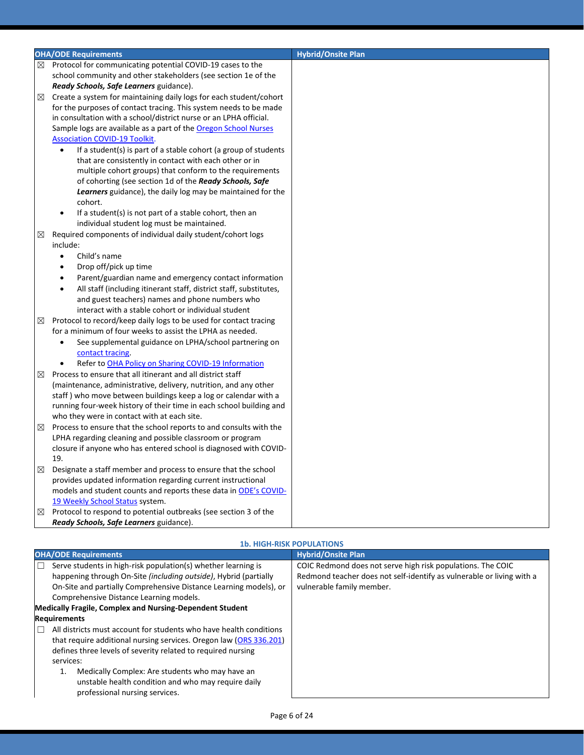|   | <b>OHA/ODE Requirements</b>                                                                                    | <b>Hybrid/Onsite Plan</b> |
|---|----------------------------------------------------------------------------------------------------------------|---------------------------|
| ⊠ | Protocol for communicating potential COVID-19 cases to the                                                     |                           |
|   | school community and other stakeholders (see section 1e of the                                                 |                           |
|   |                                                                                                                |                           |
|   | Ready Schools, Safe Learners guidance).                                                                        |                           |
| ⊠ | Create a system for maintaining daily logs for each student/cohort                                             |                           |
|   | for the purposes of contact tracing. This system needs to be made                                              |                           |
|   | in consultation with a school/district nurse or an LPHA official.                                              |                           |
|   | Sample logs are available as a part of the <b>Oregon School Nurses</b><br><b>Association COVID-19 Toolkit.</b> |                           |
|   | If a student(s) is part of a stable cohort (a group of students<br>$\bullet$                                   |                           |
|   | that are consistently in contact with each other or in                                                         |                           |
|   | multiple cohort groups) that conform to the requirements                                                       |                           |
|   | of cohorting (see section 1d of the Ready Schools, Safe                                                        |                           |
|   | Learners guidance), the daily log may be maintained for the                                                    |                           |
|   | cohort.                                                                                                        |                           |
|   | If a student(s) is not part of a stable cohort, then an                                                        |                           |
|   | individual student log must be maintained.                                                                     |                           |
| ⊠ | Required components of individual daily student/cohort logs                                                    |                           |
|   | include:                                                                                                       |                           |
|   | Child's name<br>$\bullet$                                                                                      |                           |
|   | Drop off/pick up time                                                                                          |                           |
|   | Parent/guardian name and emergency contact information                                                         |                           |
|   | All staff (including itinerant staff, district staff, substitutes,<br>$\bullet$                                |                           |
|   | and guest teachers) names and phone numbers who                                                                |                           |
|   | interact with a stable cohort or individual student                                                            |                           |
| ⊠ | Protocol to record/keep daily logs to be used for contact tracing                                              |                           |
|   | for a minimum of four weeks to assist the LPHA as needed.                                                      |                           |
|   | See supplemental guidance on LPHA/school partnering on<br>$\bullet$                                            |                           |
|   | contact tracing.                                                                                               |                           |
|   | Refer to OHA Policy on Sharing COVID-19 Information<br>$\bullet$                                               |                           |
| ⊠ | Process to ensure that all itinerant and all district staff                                                    |                           |
|   | (maintenance, administrative, delivery, nutrition, and any other                                               |                           |
|   | staff) who move between buildings keep a log or calendar with a                                                |                           |
|   | running four-week history of their time in each school building and                                            |                           |
|   | who they were in contact with at each site.                                                                    |                           |
| ⊠ | Process to ensure that the school reports to and consults with the                                             |                           |
|   | LPHA regarding cleaning and possible classroom or program                                                      |                           |
|   | closure if anyone who has entered school is diagnosed with COVID-                                              |                           |
|   | 19.                                                                                                            |                           |
| ⊠ | Designate a staff member and process to ensure that the school                                                 |                           |
|   | provides updated information regarding current instructional                                                   |                           |
|   | models and student counts and reports these data in ODE's COVID-                                               |                           |
|   | 19 Weekly School Status system.                                                                                |                           |
| ⊠ | Protocol to respond to potential outbreaks (see section 3 of the                                               |                           |
|   | Ready Schools, Safe Learners guidance).                                                                        |                           |

### **1b. HIGH-RISK POPULATIONS**

| <b>OHA/ODE Requirements</b>                                                                                                                                                                                                                                                                                                                                       | <b>Hybrid/Onsite Plan</b>                                                                                                                                         |
|-------------------------------------------------------------------------------------------------------------------------------------------------------------------------------------------------------------------------------------------------------------------------------------------------------------------------------------------------------------------|-------------------------------------------------------------------------------------------------------------------------------------------------------------------|
| Serve students in high-risk population(s) whether learning is<br>happening through On-Site (including outside), Hybrid (partially<br>On-Site and partially Comprehensive Distance Learning models), or<br>Comprehensive Distance Learning models.                                                                                                                 | COIC Redmond does not serve high risk populations. The COIC<br>Redmond teacher does not self-identify as vulnerable or living with a<br>vulnerable family member. |
| <b>Medically Fragile, Complex and Nursing-Dependent Student</b>                                                                                                                                                                                                                                                                                                   |                                                                                                                                                                   |
| <b>Requirements</b>                                                                                                                                                                                                                                                                                                                                               |                                                                                                                                                                   |
| All districts must account for students who have health conditions<br>that require additional nursing services. Oregon law (ORS 336.201)<br>defines three levels of severity related to required nursing<br>services:<br>Medically Complex: Are students who may have an<br>unstable health condition and who may require daily<br>professional nursing services. |                                                                                                                                                                   |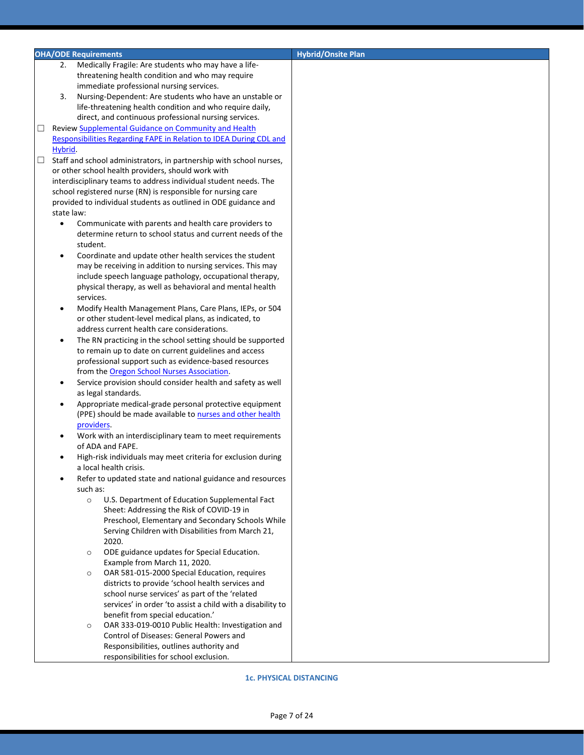|        | <b>OHA/ODE Requirements</b> |            |                                                                                                    | <b>Hybrid/Onsite Plan</b> |
|--------|-----------------------------|------------|----------------------------------------------------------------------------------------------------|---------------------------|
|        | 2.                          |            | Medically Fragile: Are students who may have a life-                                               |                           |
|        |                             |            | threatening health condition and who may require                                                   |                           |
|        |                             |            | immediate professional nursing services.                                                           |                           |
|        | 3.                          |            | Nursing-Dependent: Are students who have an unstable or                                            |                           |
|        |                             |            | life-threatening health condition and who require daily,                                           |                           |
|        |                             |            | direct, and continuous professional nursing services.                                              |                           |
| □      |                             |            | Review Supplemental Guidance on Community and Health                                               |                           |
|        |                             |            | Responsibilities Regarding FAPE in Relation to IDEA During CDL and                                 |                           |
|        | Hybrid.                     |            |                                                                                                    |                           |
| $\Box$ |                             |            | Staff and school administrators, in partnership with school nurses,                                |                           |
|        |                             |            | or other school health providers, should work with                                                 |                           |
|        |                             |            |                                                                                                    |                           |
|        |                             |            | interdisciplinary teams to address individual student needs. The                                   |                           |
|        |                             |            | school registered nurse (RN) is responsible for nursing care                                       |                           |
|        |                             |            | provided to individual students as outlined in ODE guidance and                                    |                           |
|        | state law:                  |            |                                                                                                    |                           |
|        | $\bullet$                   |            | Communicate with parents and health care providers to                                              |                           |
|        |                             |            | determine return to school status and current needs of the                                         |                           |
|        |                             | student.   |                                                                                                    |                           |
|        | $\bullet$                   |            | Coordinate and update other health services the student                                            |                           |
|        |                             |            | may be receiving in addition to nursing services. This may                                         |                           |
|        |                             |            | include speech language pathology, occupational therapy,                                           |                           |
|        |                             |            | physical therapy, as well as behavioral and mental health                                          |                           |
|        |                             | services.  |                                                                                                    |                           |
|        | $\bullet$                   |            | Modify Health Management Plans, Care Plans, IEPs, or 504                                           |                           |
|        |                             |            | or other student-level medical plans, as indicated, to                                             |                           |
|        |                             |            | address current health care considerations.                                                        |                           |
|        | $\bullet$                   |            | The RN practicing in the school setting should be supported                                        |                           |
|        |                             |            | to remain up to date on current guidelines and access                                              |                           |
|        |                             |            | professional support such as evidence-based resources                                              |                           |
|        |                             |            | from the Oregon School Nurses Association.                                                         |                           |
|        | $\bullet$                   |            | Service provision should consider health and safety as well                                        |                           |
|        |                             |            | as legal standards.                                                                                |                           |
|        | $\bullet$                   |            | Appropriate medical-grade personal protective equipment                                            |                           |
|        |                             |            | (PPE) should be made available to nurses and other health                                          |                           |
|        |                             | providers. |                                                                                                    |                           |
|        | $\bullet$                   |            | Work with an interdisciplinary team to meet requirements                                           |                           |
|        |                             |            | of ADA and FAPE.                                                                                   |                           |
|        | $\bullet$                   |            | High-risk individuals may meet criteria for exclusion during                                       |                           |
|        |                             |            | a local health crisis.                                                                             |                           |
|        |                             |            | Refer to updated state and national guidance and resources                                         |                           |
|        |                             | such as:   |                                                                                                    |                           |
|        |                             | $\circ$    | U.S. Department of Education Supplemental Fact                                                     |                           |
|        |                             |            | Sheet: Addressing the Risk of COVID-19 in                                                          |                           |
|        |                             |            | Preschool, Elementary and Secondary Schools While                                                  |                           |
|        |                             |            | Serving Children with Disabilities from March 21,                                                  |                           |
|        |                             |            | 2020.                                                                                              |                           |
|        |                             |            | ODE guidance updates for Special Education.                                                        |                           |
|        |                             | $\circ$    | Example from March 11, 2020.                                                                       |                           |
|        |                             |            | OAR 581-015-2000 Special Education, requires                                                       |                           |
|        |                             | $\circ$    |                                                                                                    |                           |
|        |                             |            | districts to provide 'school health services and<br>school nurse services' as part of the 'related |                           |
|        |                             |            |                                                                                                    |                           |
|        |                             |            | services' in order 'to assist a child with a disability to                                         |                           |
|        |                             |            | benefit from special education.'                                                                   |                           |
|        |                             | $\circ$    | OAR 333-019-0010 Public Health: Investigation and                                                  |                           |
|        |                             |            | Control of Diseases: General Powers and                                                            |                           |
|        |                             |            | Responsibilities, outlines authority and                                                           |                           |
|        |                             |            | responsibilities for school exclusion.                                                             |                           |

**1c. PHYSICAL DISTANCING**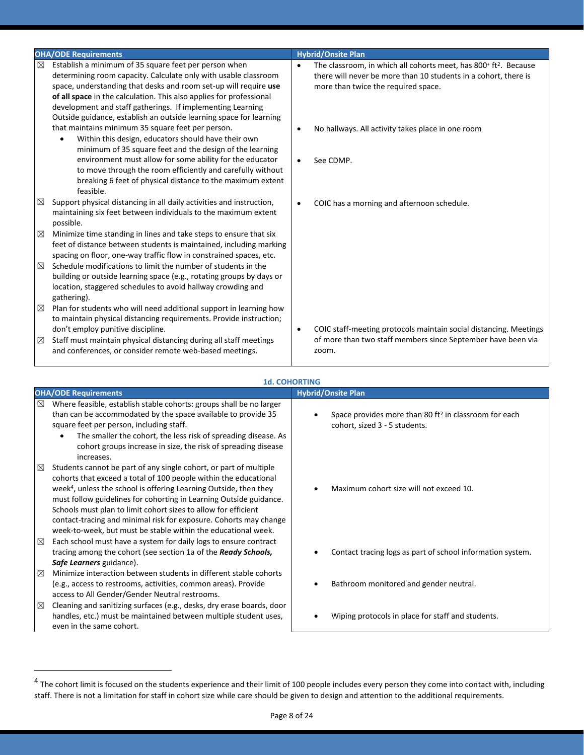|             | <b>OHA/ODE Requirements</b>                                                                                                                                                                                                                                                                                                                                                                             |           | <b>Hybrid/Onsite Plan</b>                                                                                                                                                                          |
|-------------|---------------------------------------------------------------------------------------------------------------------------------------------------------------------------------------------------------------------------------------------------------------------------------------------------------------------------------------------------------------------------------------------------------|-----------|----------------------------------------------------------------------------------------------------------------------------------------------------------------------------------------------------|
| ⊠           | Establish a minimum of 35 square feet per person when<br>determining room capacity. Calculate only with usable classroom<br>space, understanding that desks and room set-up will require use<br>of all space in the calculation. This also applies for professional<br>development and staff gatherings. If implementing Learning<br>Outside guidance, establish an outside learning space for learning | $\bullet$ | The classroom, in which all cohorts meet, has 800 <sup>+</sup> ft <sup>2</sup> . Because<br>there will never be more than 10 students in a cohort, there is<br>more than twice the required space. |
|             | that maintains minimum 35 square feet per person.<br>Within this design, educators should have their own<br>$\bullet$<br>minimum of 35 square feet and the design of the learning                                                                                                                                                                                                                       | $\bullet$ | No hallways. All activity takes place in one room                                                                                                                                                  |
|             | environment must allow for some ability for the educator<br>to move through the room efficiently and carefully without<br>breaking 6 feet of physical distance to the maximum extent<br>feasible.                                                                                                                                                                                                       | $\bullet$ | See CDMP.                                                                                                                                                                                          |
| ⊠           | Support physical distancing in all daily activities and instruction,<br>maintaining six feet between individuals to the maximum extent<br>possible.                                                                                                                                                                                                                                                     | $\bullet$ | COIC has a morning and afternoon schedule.                                                                                                                                                         |
| ⊠           | Minimize time standing in lines and take steps to ensure that six<br>feet of distance between students is maintained, including marking<br>spacing on floor, one-way traffic flow in constrained spaces, etc.                                                                                                                                                                                           |           |                                                                                                                                                                                                    |
| ⊠           | Schedule modifications to limit the number of students in the<br>building or outside learning space (e.g., rotating groups by days or<br>location, staggered schedules to avoid hallway crowding and<br>gathering).                                                                                                                                                                                     |           |                                                                                                                                                                                                    |
| $\boxtimes$ | Plan for students who will need additional support in learning how<br>to maintain physical distancing requirements. Provide instruction;<br>don't employ punitive discipline.                                                                                                                                                                                                                           | $\bullet$ | COIC staff-meeting protocols maintain social distancing. Meetings                                                                                                                                  |
| ⊠           | Staff must maintain physical distancing during all staff meetings<br>and conferences, or consider remote web-based meetings.                                                                                                                                                                                                                                                                            |           | of more than two staff members since September have been via<br>zoom.                                                                                                                              |

|                            | <b>1d. COHORTING</b>                                                                                                                                                                                                                                                                                                                                                                                                                                                                                 |                                                                                                    |  |  |  |  |
|----------------------------|------------------------------------------------------------------------------------------------------------------------------------------------------------------------------------------------------------------------------------------------------------------------------------------------------------------------------------------------------------------------------------------------------------------------------------------------------------------------------------------------------|----------------------------------------------------------------------------------------------------|--|--|--|--|
|                            | <b>OHA/ODE Requirements</b>                                                                                                                                                                                                                                                                                                                                                                                                                                                                          | <b>Hybrid/Onsite Plan</b>                                                                          |  |  |  |  |
| ⊠                          | Where feasible, establish stable cohorts: groups shall be no larger<br>than can be accommodated by the space available to provide 35<br>square feet per person, including staff.<br>The smaller the cohort, the less risk of spreading disease. As<br>cohort groups increase in size, the risk of spreading disease<br>increases.                                                                                                                                                                    | Space provides more than 80 ft <sup>2</sup> in classroom for each<br>cohort, sized 3 - 5 students. |  |  |  |  |
| $\boxtimes$<br>$\boxtimes$ | Students cannot be part of any single cohort, or part of multiple<br>cohorts that exceed a total of 100 people within the educational<br>week <sup>4</sup> , unless the school is offering Learning Outside, then they<br>must follow guidelines for cohorting in Learning Outside guidance.<br>Schools must plan to limit cohort sizes to allow for efficient<br>contact-tracing and minimal risk for exposure. Cohorts may change<br>week-to-week, but must be stable within the educational week. | Maximum cohort size will not exceed 10.                                                            |  |  |  |  |
|                            | Each school must have a system for daily logs to ensure contract<br>tracing among the cohort (see section 1a of the <b>Ready Schools</b> ,<br>Safe Learners guidance).                                                                                                                                                                                                                                                                                                                               | Contact tracing logs as part of school information system.                                         |  |  |  |  |
| ⊠                          | Minimize interaction between students in different stable cohorts<br>(e.g., access to restrooms, activities, common areas). Provide<br>access to All Gender/Gender Neutral restrooms.                                                                                                                                                                                                                                                                                                                | Bathroom monitored and gender neutral.                                                             |  |  |  |  |
| ⊠                          | Cleaning and sanitizing surfaces (e.g., desks, dry erase boards, door<br>handles, etc.) must be maintained between multiple student uses,<br>even in the same cohort.                                                                                                                                                                                                                                                                                                                                | Wiping protocols in place for staff and students.                                                  |  |  |  |  |

 $^4$  The cohort limit is focused on the students experience and their limit of 100 people includes every person they come into contact with, including staff. There is not a limitation for staff in cohort size while care should be given to design and attention to the additional requirements.

 $\overline{a}$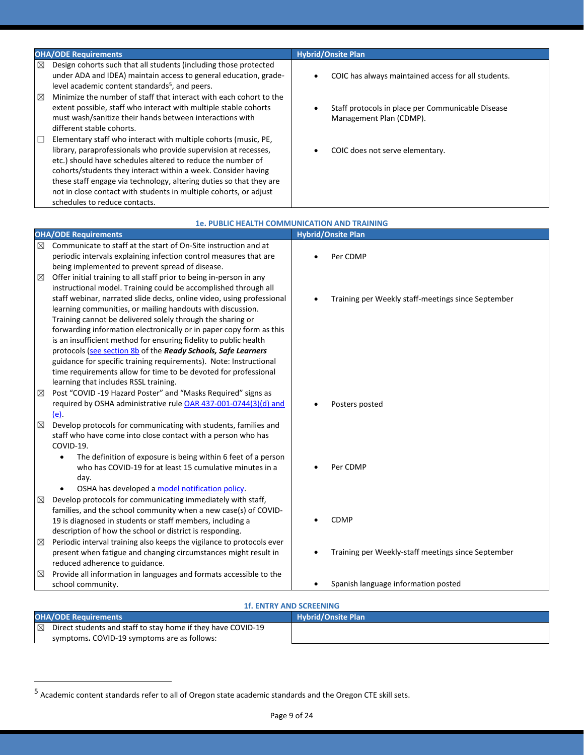| <b>OHA/ODE Requirements</b>                                                                                                                                                                                                                                                                                                                                                                                                                     | <b>Hybrid/Onsite Plan</b>                                                    |
|-------------------------------------------------------------------------------------------------------------------------------------------------------------------------------------------------------------------------------------------------------------------------------------------------------------------------------------------------------------------------------------------------------------------------------------------------|------------------------------------------------------------------------------|
| ⊠<br>Design cohorts such that all students (including those protected<br>under ADA and IDEA) maintain access to general education, grade-<br>level academic content standards <sup>5</sup> , and peers.                                                                                                                                                                                                                                         | COIC has always maintained access for all students.                          |
| Minimize the number of staff that interact with each cohort to the<br>⊠<br>extent possible, staff who interact with multiple stable cohorts<br>must wash/sanitize their hands between interactions with<br>different stable cohorts.                                                                                                                                                                                                            | Staff protocols in place per Communicable Disease<br>Management Plan (CDMP). |
| Elementary staff who interact with multiple cohorts (music, PE,<br>library, paraprofessionals who provide supervision at recesses,<br>etc.) should have schedules altered to reduce the number of<br>cohorts/students they interact within a week. Consider having<br>these staff engage via technology, altering duties so that they are<br>not in close contact with students in multiple cohorts, or adjust<br>schedules to reduce contacts. | COIC does not serve elementary.                                              |
|                                                                                                                                                                                                                                                                                                                                                                                                                                                 | <b>1e. PUBLIC HEALTH COMMUNICATION AND TRAINING</b>                          |
| <b>OHA/ODE Requirements</b>                                                                                                                                                                                                                                                                                                                                                                                                                     | <b>Hybrid/Onsite Plan</b>                                                    |
| $\triangleright$<br>Communicate to staff at the start of On-Site instruction and at                                                                                                                                                                                                                                                                                                                                                             |                                                                              |

|   | UNAY UDE NEQUIFEMENTS                                                      | <b>Hybrid/Office Fight</b>                         |
|---|----------------------------------------------------------------------------|----------------------------------------------------|
| ⊠ | Communicate to staff at the start of On-Site instruction and at            |                                                    |
|   | periodic intervals explaining infection control measures that are          | Per CDMP                                           |
|   | being implemented to prevent spread of disease.                            |                                                    |
| ⊠ | Offer initial training to all staff prior to being in-person in any        |                                                    |
|   | instructional model. Training could be accomplished through all            |                                                    |
|   | staff webinar, narrated slide decks, online video, using professional      | Training per Weekly staff-meetings since September |
|   | learning communities, or mailing handouts with discussion.                 |                                                    |
|   | Training cannot be delivered solely through the sharing or                 |                                                    |
|   | forwarding information electronically or in paper copy form as this        |                                                    |
|   | is an insufficient method for ensuring fidelity to public health           |                                                    |
|   | protocols (see section 8b of the Ready Schools, Safe Learners              |                                                    |
|   | guidance for specific training requirements). Note: Instructional          |                                                    |
|   | time requirements allow for time to be devoted for professional            |                                                    |
|   | learning that includes RSSL training.                                      |                                                    |
| ⊠ | Post "COVID -19 Hazard Poster" and "Masks Required" signs as               |                                                    |
|   | required by OSHA administrative rule OAR 437-001-0744(3)(d) and            | Posters posted                                     |
|   | (e)                                                                        |                                                    |
| ⊠ | Develop protocols for communicating with students, families and            |                                                    |
|   | staff who have come into close contact with a person who has               |                                                    |
|   | COVID-19.                                                                  |                                                    |
|   | The definition of exposure is being within 6 feet of a person<br>$\bullet$ |                                                    |
|   | who has COVID-19 for at least 15 cumulative minutes in a                   | Per CDMP                                           |
|   | day.                                                                       |                                                    |
|   | OSHA has developed a model notification policy.                            |                                                    |
| ⊠ | Develop protocols for communicating immediately with staff,                |                                                    |
|   | families, and the school community when a new case(s) of COVID-            |                                                    |
|   | 19 is diagnosed in students or staff members, including a                  | <b>CDMP</b>                                        |
|   | description of how the school or district is responding.                   |                                                    |
| ⊠ | Periodic interval training also keeps the vigilance to protocols ever      |                                                    |
|   | present when fatigue and changing circumstances might result in            | Training per Weekly-staff meetings since September |
|   | reduced adherence to guidance.                                             |                                                    |
| ⊠ | Provide all information in languages and formats accessible to the         |                                                    |
|   | school community.                                                          | Spanish language information posted                |
|   |                                                                            |                                                    |

## **1f. ENTRY AND SCREENING**

| <b>OHA/ODE Requirements</b> |                                                              | <b>Hybrid/Onsite Plan</b> |
|-----------------------------|--------------------------------------------------------------|---------------------------|
| $\boxtimes$                 | Direct students and staff to stay home if they have COVID-19 |                           |
|                             | symptoms. COVID-19 symptoms are as follows:                  |                           |

 $\overline{a}$ 

<sup>&</sup>lt;sup>5</sup> Academic content standards refer to all of Oregon state academic standards and the Oregon CTE skill sets.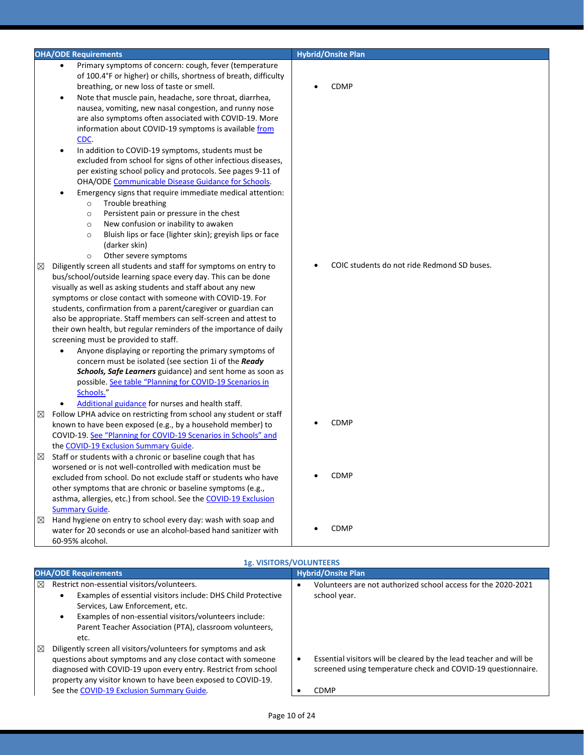|   | <b>OHA/ODE Requirements</b>                                                                                                                                                                                                                                                                                                                                                                                                                                                                                                                                                                                                                                                                                                                                                                                                                                                                                                                                                                                                                                                                                                                                                                                                                                                                                                                                                | <b>Hybrid/Onsite Plan</b>                   |
|---|----------------------------------------------------------------------------------------------------------------------------------------------------------------------------------------------------------------------------------------------------------------------------------------------------------------------------------------------------------------------------------------------------------------------------------------------------------------------------------------------------------------------------------------------------------------------------------------------------------------------------------------------------------------------------------------------------------------------------------------------------------------------------------------------------------------------------------------------------------------------------------------------------------------------------------------------------------------------------------------------------------------------------------------------------------------------------------------------------------------------------------------------------------------------------------------------------------------------------------------------------------------------------------------------------------------------------------------------------------------------------|---------------------------------------------|
|   | Primary symptoms of concern: cough, fever (temperature<br>$\bullet$<br>of 100.4°F or higher) or chills, shortness of breath, difficulty<br>breathing, or new loss of taste or smell.<br>Note that muscle pain, headache, sore throat, diarrhea,<br>٠<br>nausea, vomiting, new nasal congestion, and runny nose<br>are also symptoms often associated with COVID-19. More<br>information about COVID-19 symptoms is available from                                                                                                                                                                                                                                                                                                                                                                                                                                                                                                                                                                                                                                                                                                                                                                                                                                                                                                                                          | <b>CDMP</b>                                 |
| ⊠ | CDC.<br>In addition to COVID-19 symptoms, students must be<br>٠<br>excluded from school for signs of other infectious diseases,<br>per existing school policy and protocols. See pages 9-11 of<br>OHA/ODE Communicable Disease Guidance for Schools.<br>Emergency signs that require immediate medical attention:<br>٠<br>Trouble breathing<br>$\circ$<br>Persistent pain or pressure in the chest<br>$\circ$<br>New confusion or inability to awaken<br>$\circ$<br>Bluish lips or face (lighter skin); greyish lips or face<br>$\circ$<br>(darker skin)<br>Other severe symptoms<br>$\circ$<br>Diligently screen all students and staff for symptoms on entry to<br>bus/school/outside learning space every day. This can be done<br>visually as well as asking students and staff about any new<br>symptoms or close contact with someone with COVID-19. For<br>students, confirmation from a parent/caregiver or guardian can<br>also be appropriate. Staff members can self-screen and attest to<br>their own health, but regular reminders of the importance of daily<br>screening must be provided to staff.<br>Anyone displaying or reporting the primary symptoms of<br>$\bullet$<br>concern must be isolated (see section 1i of the Ready<br>Schools, Safe Learners guidance) and sent home as soon as<br>possible. See table "Planning for COVID-19 Scenarios in | COIC students do not ride Redmond SD buses. |
| ⊠ | Schools."<br>Additional guidance for nurses and health staff.<br>$\bullet$<br>Follow LPHA advice on restricting from school any student or staff<br>known to have been exposed (e.g., by a household member) to<br>COVID-19. See "Planning for COVID-19 Scenarios in Schools" and<br>the COVID-19 Exclusion Summary Guide.                                                                                                                                                                                                                                                                                                                                                                                                                                                                                                                                                                                                                                                                                                                                                                                                                                                                                                                                                                                                                                                 | <b>CDMP</b>                                 |
| ⊠ | Staff or students with a chronic or baseline cough that has<br>worsened or is not well-controlled with medication must be<br>excluded from school. Do not exclude staff or students who have<br>other symptoms that are chronic or baseline symptoms (e.g.,<br>asthma, allergies, etc.) from school. See the COVID-19 Exclusion<br><b>Summary Guide.</b>                                                                                                                                                                                                                                                                                                                                                                                                                                                                                                                                                                                                                                                                                                                                                                                                                                                                                                                                                                                                                   | <b>CDMP</b>                                 |
| ⊠ | Hand hygiene on entry to school every day: wash with soap and<br>water for 20 seconds or use an alcohol-based hand sanitizer with<br>60-95% alcohol.                                                                                                                                                                                                                                                                                                                                                                                                                                                                                                                                                                                                                                                                                                                                                                                                                                                                                                                                                                                                                                                                                                                                                                                                                       | <b>CDMP</b>                                 |
|   |                                                                                                                                                                                                                                                                                                                                                                                                                                                                                                                                                                                                                                                                                                                                                                                                                                                                                                                                                                                                                                                                                                                                                                                                                                                                                                                                                                            | 1g. VISITORS/VOLUNTEERS                     |

|             | <b>IS. VISITORS/VOLUNTELINS</b>                                                                                                                                                                                                                                                                              |   |                                                                                                                                                   |  |  |
|-------------|--------------------------------------------------------------------------------------------------------------------------------------------------------------------------------------------------------------------------------------------------------------------------------------------------------------|---|---------------------------------------------------------------------------------------------------------------------------------------------------|--|--|
|             | <b>OHA/ODE Requirements</b>                                                                                                                                                                                                                                                                                  |   | <b>Hybrid/Onsite Plan</b>                                                                                                                         |  |  |
| ⊠           | Restrict non-essential visitors/volunteers.<br>Examples of essential visitors include: DHS Child Protective<br>Services, Law Enforcement, etc.<br>Examples of non-essential visitors/volunteers include:<br>Parent Teacher Association (PTA), classroom volunteers,<br>etc.                                  | ٠ | Volunteers are not authorized school access for the 2020-2021<br>school year.                                                                     |  |  |
| $\boxtimes$ | Diligently screen all visitors/volunteers for symptoms and ask<br>questions about symptoms and any close contact with someone<br>diagnosed with COVID-19 upon every entry. Restrict from school<br>property any visitor known to have been exposed to COVID-19.<br>See the COVID-19 Exclusion Summary Guide. |   | Essential visitors will be cleared by the lead teacher and will be<br>screened using temperature check and COVID-19 questionnaire.<br><b>CDMP</b> |  |  |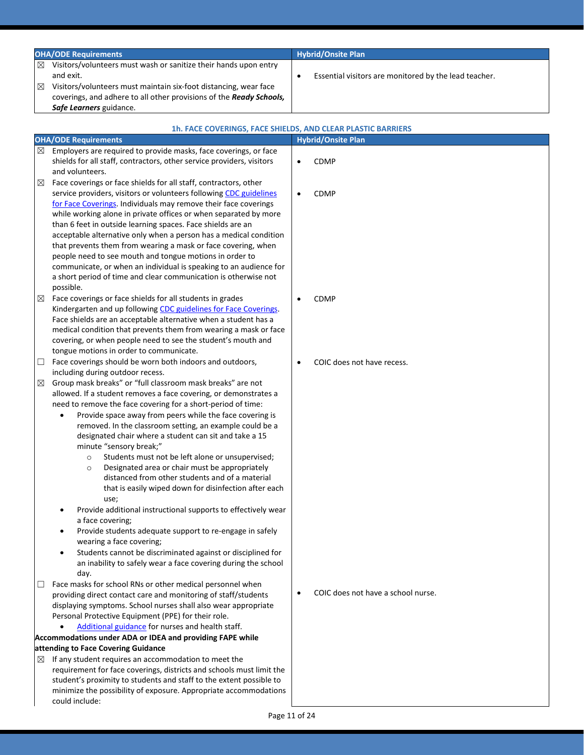|             | <b>OHA/ODE Requirements</b>                                                                                                                                                                                                                                                                                                                  | <b>Hybrid/Onsite Plan</b>                             |
|-------------|----------------------------------------------------------------------------------------------------------------------------------------------------------------------------------------------------------------------------------------------------------------------------------------------------------------------------------------------|-------------------------------------------------------|
| ⊠<br>⊠      | Visitors/volunteers must wash or sanitize their hands upon entry<br>and exit.<br>Visitors/volunteers must maintain six-foot distancing, wear face<br>coverings, and adhere to all other provisions of the Ready Schools,<br>Safe Learners guidance.                                                                                          | Essential visitors are monitored by the lead teacher. |
|             | <b>1h. FACE COVERINGS, FACE SHIELDS, AND CLEAR PLASTIC BARRIERS</b><br><b>OHA/ODE Requirements</b>                                                                                                                                                                                                                                           | <b>Hybrid/Onsite Plan</b>                             |
| ⊠           | Employers are required to provide masks, face coverings, or face<br>shields for all staff, contractors, other service providers, visitors<br>and volunteers.                                                                                                                                                                                 | CDMP                                                  |
| $\boxtimes$ | Face coverings or face shields for all staff, contractors, other<br>service providers, visitors or volunteers following CDC guidelines<br>for Face Coverings. Individuals may remove their face coverings<br>while working alone in private offices or when separated by more<br>than 6 feet in outside learning spaces. Face shields are an | CDMP                                                  |

tongue motions in order to communicate.  $\Box$  Face coverings should be worn both indoors and outdoors, including during outdoor recess.

 $\boxtimes$  Face coverings or face shields for all students in grades

possible.

- $\boxtimes$  Group mask breaks" or "full classroom mask breaks" are not allowed. If a student removes a face covering, or demonstrates a need to remove the face covering for a short-period of time:
	- Provide space away from peers while the face covering is removed. In the classroom setting, an example could be a designated chair where a student can sit and take a 15 minute "sensory break;"

acceptable alternative only when a person has a medical condition that prevents them from wearing a mask or face covering, when people need to see mouth and tongue motions in order to communicate, or when an individual is speaking to an audience for a short period of time and clear communication is otherwise not

Kindergarten and up following CDC guidelines for Face Coverings. Face shields are an acceptable alternative when a student has a medical condition that prevents them from wearing a mask or face covering, or when people need to see the student's mouth and

- o Students must not be left alone or unsupervised;
- o Designated area or chair must be appropriately distanced from other students and of a material that is easily wiped down for disinfection after each use;
- Provide additional instructional supports to effectively wear a face covering;
- Provide students adequate support to re-engage in safely wearing a face covering;
- Students cannot be discriminated against or disciplined for an inability to safely wear a face covering during the school day.
- $\Box$  Face masks for school RNs or other medical personnel when providing direct contact care and monitoring of staff/students displaying symptoms. School nurses shall also wear appropriate Personal Protective Equipment (PPE) for their role.
- [Additional guidance](https://www.oregon.gov/ode/students-and-family/healthsafety/Documents/Additional%20Considerations%20for%20Staff%20Working%20with%20Students%20with%20Complex%20Needs.pdf) for nurses and health staff. **Accommodations under ADA or IDEA and providing FAPE while**

### **attending to Face Covering Guidance**

- $\boxtimes$  If any student requires an accommodation to meet the requirement for face coverings, districts and schools must limit the student's proximity to students and staff to the extent possible to minimize the possibility of exposure. Appropriate accommodations could include:
- 
- COIC does not have a school nurse.

• CDMP

COIC does not have recess.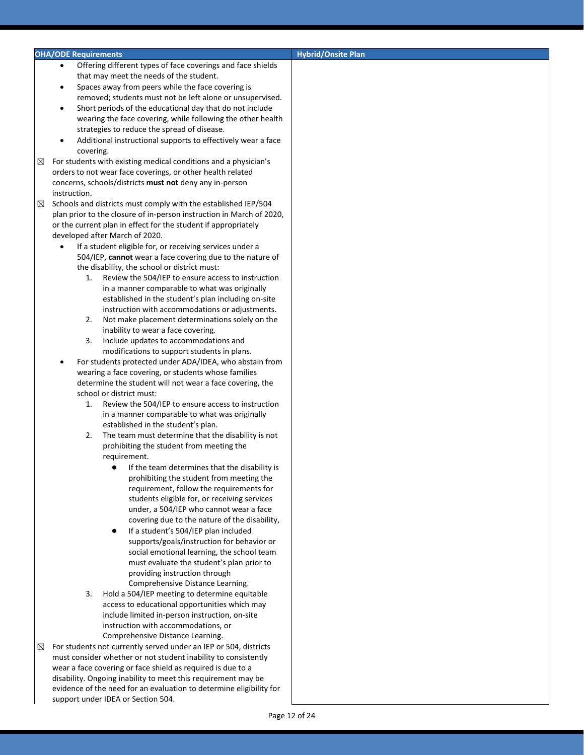### **OHA/ODE Requirements CONSIDERATION CONSIDERING THE CONSIDERATION CONSIDERING THE CONSIDERATION CONSIDERING THE CONSIDERATION CONSIDERATION CONSIDERATION CONSIDERATION CONSIDERATION CONSIDERATION CONSIDERATION CONSIDERAT**

- Offering different types of face coverings and face shields that may meet the needs of the student.
- Spaces away from peers while the face covering is removed; students must not be left alone or unsupervised.
- Short periods of the educational day that do not include wearing the face covering, while following the other health strategies to reduce the spread of disease.
- Additional instructional supports to effectively wear a face covering.
- $\boxtimes$  For students with existing medical conditions and a physician's orders to not wear face coverings, or other health related concerns, schools/districts **must not** deny any in-person instruction.
- $\boxtimes$  Schools and districts must comply with the established IEP/504 plan prior to the closure of in-person instruction in March of 2020, or the current plan in effect for the student if appropriately developed after March of 2020.
	- If a student eligible for, or receiving services under a 504/IEP, **cannot** wear a face covering due to the nature of the disability, the school or district must:
		- 1. Review the 504/IEP to ensure access to instruction in a manner comparable to what was originally established in the student's plan including on-site instruction with accommodations or adjustments.
		- 2. Not make placement determinations solely on the inability to wear a face covering.
		- 3. Include updates to accommodations and modifications to support students in plans.
	- For students protected under ADA/IDEA, who abstain from wearing a face covering, or students whose families determine the student will not wear a face covering, the school or district must:
		- 1. Review the 504/IEP to ensure access to instruction in a manner comparable to what was originally established in the student's plan.
		- 2. The team must determine that the disability is not prohibiting the student from meeting the requirement.
			- If the team determines that the disability is prohibiting the student from meeting the requirement, follow the requirements for students eligible for, or receiving services under, a 504/IEP who cannot wear a face covering due to the nature of the disability,
			- If a student's 504/IEP plan included supports/goals/instruction for behavior or social emotional learning, the school team must evaluate the student's plan prior to providing instruction through Comprehensive Distance Learning.
		- 3. Hold a 504/IEP meeting to determine equitable access to educational opportunities which may include limited in-person instruction, on-site instruction with accommodations, or Comprehensive Distance Learning.
- $\boxtimes$  For students not currently served under an IEP or 504, districts must consider whether or not student inability to consistently wear a face covering or face shield as required is due to a disability. Ongoing inability to meet this requirement may be evidence of the need for an evaluation to determine eligibility for support under IDEA or Section 504.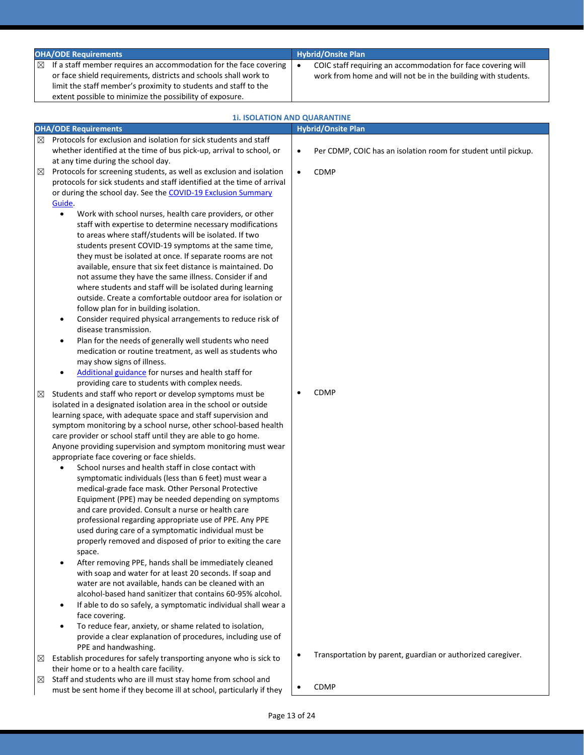| <b>OHA/ODE Requirements</b>                                                                                                                                                                                                                                                         | <b>Hybrid/Onsite Plan</b>                                                                                                     |  |
|-------------------------------------------------------------------------------------------------------------------------------------------------------------------------------------------------------------------------------------------------------------------------------------|-------------------------------------------------------------------------------------------------------------------------------|--|
| If a staff member requires an accommodation for the face covering<br>$\boxtimes$<br>or face shield requirements, districts and schools shall work to<br>limit the staff member's proximity to students and staff to the<br>extent possible to minimize the possibility of exposure. | COIC staff requiring an accommodation for face covering will<br>work from home and will not be in the building with students. |  |

|             | <b>1i. ISOLATION AND QUARANTINE</b>                                                                                                                                                                                                                                                                                                                                                                                                                                                                                                                                                                                                                                                                                                                                                                                                                                                                                                                                                                                                                                                                                                                                                                                                                                                                                                                                                                                                                                                                                                                                                                                                                                                                                                                                                                                                                                                                                                              |           |                                                                |
|-------------|--------------------------------------------------------------------------------------------------------------------------------------------------------------------------------------------------------------------------------------------------------------------------------------------------------------------------------------------------------------------------------------------------------------------------------------------------------------------------------------------------------------------------------------------------------------------------------------------------------------------------------------------------------------------------------------------------------------------------------------------------------------------------------------------------------------------------------------------------------------------------------------------------------------------------------------------------------------------------------------------------------------------------------------------------------------------------------------------------------------------------------------------------------------------------------------------------------------------------------------------------------------------------------------------------------------------------------------------------------------------------------------------------------------------------------------------------------------------------------------------------------------------------------------------------------------------------------------------------------------------------------------------------------------------------------------------------------------------------------------------------------------------------------------------------------------------------------------------------------------------------------------------------------------------------------------------------|-----------|----------------------------------------------------------------|
|             | <b>OHA/ODE Requirements</b>                                                                                                                                                                                                                                                                                                                                                                                                                                                                                                                                                                                                                                                                                                                                                                                                                                                                                                                                                                                                                                                                                                                                                                                                                                                                                                                                                                                                                                                                                                                                                                                                                                                                                                                                                                                                                                                                                                                      |           | <b>Hybrid/Onsite Plan</b>                                      |
| $\boxtimes$ | Protocols for exclusion and isolation for sick students and staff<br>whether identified at the time of bus pick-up, arrival to school, or<br>at any time during the school day.                                                                                                                                                                                                                                                                                                                                                                                                                                                                                                                                                                                                                                                                                                                                                                                                                                                                                                                                                                                                                                                                                                                                                                                                                                                                                                                                                                                                                                                                                                                                                                                                                                                                                                                                                                  | $\bullet$ | Per CDMP, COIC has an isolation room for student until pickup. |
| $\boxtimes$ | Protocols for screening students, as well as exclusion and isolation<br>protocols for sick students and staff identified at the time of arrival<br>or during the school day. See the COVID-19 Exclusion Summary                                                                                                                                                                                                                                                                                                                                                                                                                                                                                                                                                                                                                                                                                                                                                                                                                                                                                                                                                                                                                                                                                                                                                                                                                                                                                                                                                                                                                                                                                                                                                                                                                                                                                                                                  | $\bullet$ | CDMP                                                           |
| ⊠           | Guide.<br>Work with school nurses, health care providers, or other<br>$\bullet$<br>staff with expertise to determine necessary modifications<br>to areas where staff/students will be isolated. If two<br>students present COVID-19 symptoms at the same time,<br>they must be isolated at once. If separate rooms are not<br>available, ensure that six feet distance is maintained. Do<br>not assume they have the same illness. Consider if and<br>where students and staff will be isolated during learning<br>outside. Create a comfortable outdoor area for isolation or<br>follow plan for in building isolation.<br>Consider required physical arrangements to reduce risk of<br>$\bullet$<br>disease transmission.<br>Plan for the needs of generally well students who need<br>٠<br>medication or routine treatment, as well as students who<br>may show signs of illness.<br>Additional guidance for nurses and health staff for<br>$\bullet$<br>providing care to students with complex needs.<br>Students and staff who report or develop symptoms must be<br>isolated in a designated isolation area in the school or outside<br>learning space, with adequate space and staff supervision and<br>symptom monitoring by a school nurse, other school-based health<br>care provider or school staff until they are able to go home.<br>Anyone providing supervision and symptom monitoring must wear<br>appropriate face covering or face shields.<br>School nurses and health staff in close contact with<br>$\bullet$<br>symptomatic individuals (less than 6 feet) must wear a<br>medical-grade face mask. Other Personal Protective<br>Equipment (PPE) may be needed depending on symptoms<br>and care provided. Consult a nurse or health care<br>professional regarding appropriate use of PPE. Any PPE<br>used during care of a symptomatic individual must be<br>properly removed and disposed of prior to exiting the care | $\bullet$ | <b>CDMP</b>                                                    |
|             | space.<br>After removing PPE, hands shall be immediately cleaned<br>with soap and water for at least 20 seconds. If soap and<br>water are not available, hands can be cleaned with an<br>alcohol-based hand sanitizer that contains 60-95% alcohol.<br>If able to do so safely, a symptomatic individual shall wear a<br>$\bullet$<br>face covering.                                                                                                                                                                                                                                                                                                                                                                                                                                                                                                                                                                                                                                                                                                                                                                                                                                                                                                                                                                                                                                                                                                                                                                                                                                                                                                                                                                                                                                                                                                                                                                                             |           |                                                                |
|             | To reduce fear, anxiety, or shame related to isolation,<br>$\bullet$<br>provide a clear explanation of procedures, including use of<br>PPE and handwashing.<br>Establish procedures for safely transporting anyone who is sick to                                                                                                                                                                                                                                                                                                                                                                                                                                                                                                                                                                                                                                                                                                                                                                                                                                                                                                                                                                                                                                                                                                                                                                                                                                                                                                                                                                                                                                                                                                                                                                                                                                                                                                                | $\bullet$ | Transportation by parent, guardian or authorized caregiver.    |
| ⊠           | their home or to a health care facility.                                                                                                                                                                                                                                                                                                                                                                                                                                                                                                                                                                                                                                                                                                                                                                                                                                                                                                                                                                                                                                                                                                                                                                                                                                                                                                                                                                                                                                                                                                                                                                                                                                                                                                                                                                                                                                                                                                         |           |                                                                |
| $\boxtimes$ | Staff and students who are ill must stay home from school and<br>must be sent home if they become ill at school, particularly if they                                                                                                                                                                                                                                                                                                                                                                                                                                                                                                                                                                                                                                                                                                                                                                                                                                                                                                                                                                                                                                                                                                                                                                                                                                                                                                                                                                                                                                                                                                                                                                                                                                                                                                                                                                                                            | $\bullet$ | <b>CDMP</b>                                                    |
|             |                                                                                                                                                                                                                                                                                                                                                                                                                                                                                                                                                                                                                                                                                                                                                                                                                                                                                                                                                                                                                                                                                                                                                                                                                                                                                                                                                                                                                                                                                                                                                                                                                                                                                                                                                                                                                                                                                                                                                  |           |                                                                |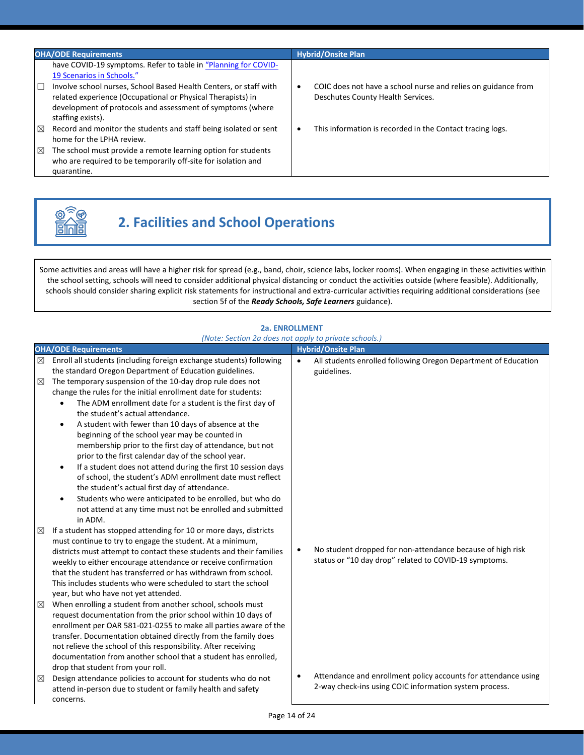| <b>OHA/ODE Requirements</b>                                                                                                                                                                                                                                                                                             | <b>Hybrid/Onsite Plan</b>                                                                                       |
|-------------------------------------------------------------------------------------------------------------------------------------------------------------------------------------------------------------------------------------------------------------------------------------------------------------------------|-----------------------------------------------------------------------------------------------------------------|
| have COVID-19 symptoms. Refer to table in "Planning for COVID-<br>19 Scenarios in Schools."<br>Involve school nurses, School Based Health Centers, or staff with<br>Е<br>related experience (Occupational or Physical Therapists) in<br>development of protocols and assessment of symptoms (where<br>staffing exists). | COIC does not have a school nurse and relies on guidance from<br>$\bullet$<br>Deschutes County Health Services. |
| Record and monitor the students and staff being isolated or sent<br>$\boxtimes$<br>home for the LPHA review.<br>The school must provide a remote learning option for students<br>⊠<br>who are required to be temporarily off-site for isolation and<br>quarantine.                                                      | This information is recorded in the Contact tracing logs.<br>$\bullet$                                          |



# **2. Facilities and School Operations**

Some activities and areas will have a higher risk for spread (e.g., band, choir, science labs, locker rooms). When engaging in these activities within the school setting, schools will need to consider additional physical distancing or conduct the activities outside (where feasible). Additionally, schools should consider sharing explicit risk statements for instructional and extra-curricular activities requiring additional considerations (see section 5f of the *Ready Schools, Safe Learners* guidance).

### **2a. ENROLLMENT** *(Note: Section 2a does not apply to private schools.)*

|        | <b>OHA/ODE Requirements</b>                                                                                                                                                                                                                                                                                                                                                                                                                                                                                                                                                                                                                                                                                                                                                                     |           | <b>Hybrid/Onsite Plan</b>                                                                                                |
|--------|-------------------------------------------------------------------------------------------------------------------------------------------------------------------------------------------------------------------------------------------------------------------------------------------------------------------------------------------------------------------------------------------------------------------------------------------------------------------------------------------------------------------------------------------------------------------------------------------------------------------------------------------------------------------------------------------------------------------------------------------------------------------------------------------------|-----------|--------------------------------------------------------------------------------------------------------------------------|
| ⊠      | Enroll all students (including foreign exchange students) following<br>the standard Oregon Department of Education guidelines.                                                                                                                                                                                                                                                                                                                                                                                                                                                                                                                                                                                                                                                                  | $\bullet$ | All students enrolled following Oregon Department of Education<br>guidelines.                                            |
| ⊠      | The temporary suspension of the 10-day drop rule does not<br>change the rules for the initial enrollment date for students:<br>The ADM enrollment date for a student is the first day of<br>the student's actual attendance.<br>A student with fewer than 10 days of absence at the<br>$\bullet$<br>beginning of the school year may be counted in<br>membership prior to the first day of attendance, but not<br>prior to the first calendar day of the school year.<br>If a student does not attend during the first 10 session days<br>$\bullet$<br>of school, the student's ADM enrollment date must reflect<br>the student's actual first day of attendance.<br>Students who were anticipated to be enrolled, but who do<br>٠<br>not attend at any time must not be enrolled and submitted |           |                                                                                                                          |
| ⊠<br>⊠ | in ADM.<br>If a student has stopped attending for 10 or more days, districts<br>must continue to try to engage the student. At a minimum,<br>districts must attempt to contact these students and their families<br>weekly to either encourage attendance or receive confirmation<br>that the student has transferred or has withdrawn from school.<br>This includes students who were scheduled to start the school<br>year, but who have not yet attended.<br>When enrolling a student from another school, schools must                                                                                                                                                                                                                                                                      | $\bullet$ | No student dropped for non-attendance because of high risk<br>status or "10 day drop" related to COVID-19 symptoms.      |
|        | request documentation from the prior school within 10 days of<br>enrollment per OAR 581-021-0255 to make all parties aware of the<br>transfer. Documentation obtained directly from the family does<br>not relieve the school of this responsibility. After receiving<br>documentation from another school that a student has enrolled,<br>drop that student from your roll.                                                                                                                                                                                                                                                                                                                                                                                                                    |           |                                                                                                                          |
| ⊠      | Design attendance policies to account for students who do not<br>attend in-person due to student or family health and safety<br>concerns.                                                                                                                                                                                                                                                                                                                                                                                                                                                                                                                                                                                                                                                       | $\bullet$ | Attendance and enrollment policy accounts for attendance using<br>2-way check-ins using COIC information system process. |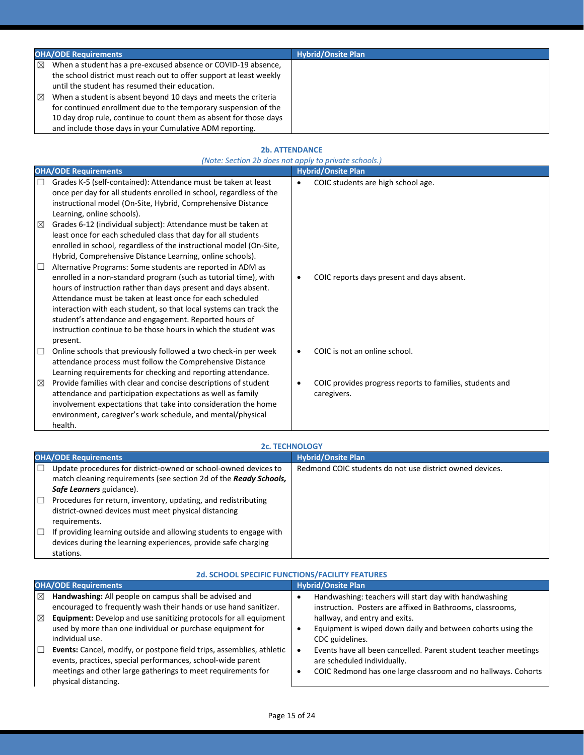|        | <b>OHA/ODE Requirements</b>                                                                                                                                                                                                                                                                                                                                                                                                                                  | <b>Hybrid/Onsite Plan</b> |
|--------|--------------------------------------------------------------------------------------------------------------------------------------------------------------------------------------------------------------------------------------------------------------------------------------------------------------------------------------------------------------------------------------------------------------------------------------------------------------|---------------------------|
| ⊠<br>⊠ | When a student has a pre-excused absence or COVID-19 absence,<br>the school district must reach out to offer support at least weekly<br>until the student has resumed their education.<br>When a student is absent beyond 10 days and meets the criteria<br>for continued enrollment due to the temporary suspension of the<br>10 day drop rule, continue to count them as absent for those days<br>and include those days in your Cumulative ADM reporting. |                           |

### **2b. ATTENDANCE**

|        | (Note: Section 2b does not apply to private schools.)                                                                                                                                                                                                                                                                                                                                                                                                                        |           |                                                                         |  |  |
|--------|------------------------------------------------------------------------------------------------------------------------------------------------------------------------------------------------------------------------------------------------------------------------------------------------------------------------------------------------------------------------------------------------------------------------------------------------------------------------------|-----------|-------------------------------------------------------------------------|--|--|
|        | <b>OHA/ODE Requirements</b>                                                                                                                                                                                                                                                                                                                                                                                                                                                  |           | <b>Hybrid/Onsite Plan</b>                                               |  |  |
| □      | Grades K-5 (self-contained): Attendance must be taken at least<br>once per day for all students enrolled in school, regardless of the                                                                                                                                                                                                                                                                                                                                        | $\bullet$ | COIC students are high school age.                                      |  |  |
|        | instructional model (On-Site, Hybrid, Comprehensive Distance<br>Learning, online schools).                                                                                                                                                                                                                                                                                                                                                                                   |           |                                                                         |  |  |
| ⊠      | Grades 6-12 (individual subject): Attendance must be taken at<br>least once for each scheduled class that day for all students<br>enrolled in school, regardless of the instructional model (On-Site,<br>Hybrid, Comprehensive Distance Learning, online schools).                                                                                                                                                                                                           |           |                                                                         |  |  |
| $\Box$ | Alternative Programs: Some students are reported in ADM as<br>enrolled in a non-standard program (such as tutorial time), with<br>hours of instruction rather than days present and days absent.<br>Attendance must be taken at least once for each scheduled<br>interaction with each student, so that local systems can track the<br>student's attendance and engagement. Reported hours of<br>instruction continue to be those hours in which the student was<br>present. | $\bullet$ | COIC reports days present and days absent.                              |  |  |
| □      | Online schools that previously followed a two check-in per week<br>attendance process must follow the Comprehensive Distance<br>Learning requirements for checking and reporting attendance.                                                                                                                                                                                                                                                                                 | $\bullet$ | COIC is not an online school.                                           |  |  |
| ⊠      | Provide families with clear and concise descriptions of student<br>attendance and participation expectations as well as family<br>involvement expectations that take into consideration the home<br>environment, caregiver's work schedule, and mental/physical<br>health.                                                                                                                                                                                                   | $\bullet$ | COIC provides progress reports to families, students and<br>caregivers. |  |  |

|        | <b>2c. TECHNOLOGY</b>                                                                                                                |                                                          |  |
|--------|--------------------------------------------------------------------------------------------------------------------------------------|----------------------------------------------------------|--|
|        | <b>OHA/ODE Requirements</b>                                                                                                          | <b>Hybrid/Onsite Plan</b>                                |  |
| $\Box$ | Update procedures for district-owned or school-owned devices to<br>match cleaning requirements (see section 2d of the Ready Schools, | Redmond COIC students do not use district owned devices. |  |
|        | Safe Learners guidance).                                                                                                             |                                                          |  |
| □      | Procedures for return, inventory, updating, and redistributing                                                                       |                                                          |  |
|        | district-owned devices must meet physical distancing                                                                                 |                                                          |  |
|        | requirements.                                                                                                                        |                                                          |  |
| ⊔      | If providing learning outside and allowing students to engage with                                                                   |                                                          |  |
|        | devices during the learning experiences, provide safe charging                                                                       |                                                          |  |
|        | stations.                                                                                                                            |                                                          |  |

| <b>2d. SCHOOL SPECIFIC FUNCTIONS/FACILITY FEATURES</b>                                                                                                                                                                                                                                                                                                                                                                                  |                                                                                                                                                                                                                                                                                                                                          |  |  |
|-----------------------------------------------------------------------------------------------------------------------------------------------------------------------------------------------------------------------------------------------------------------------------------------------------------------------------------------------------------------------------------------------------------------------------------------|------------------------------------------------------------------------------------------------------------------------------------------------------------------------------------------------------------------------------------------------------------------------------------------------------------------------------------------|--|--|
| <b>OHA/ODE Requirements</b>                                                                                                                                                                                                                                                                                                                                                                                                             | <b>Hybrid/Onsite Plan</b>                                                                                                                                                                                                                                                                                                                |  |  |
| Handwashing: All people on campus shall be advised and<br>⊠<br>encouraged to frequently wash their hands or use hand sanitizer.<br>Equipment: Develop and use sanitizing protocols for all equipment<br>⊠<br>used by more than one individual or purchase equipment for<br>individual use.<br>Events: Cancel, modify, or postpone field trips, assemblies, athletic<br>ш<br>events, practices, special performances, school-wide parent | Handwashing: teachers will start day with handwashing<br>instruction. Posters are affixed in Bathrooms, classrooms,<br>hallway, and entry and exits.<br>Equipment is wiped down daily and between cohorts using the<br>CDC guidelines.<br>Events have all been cancelled. Parent student teacher meetings<br>are scheduled individually. |  |  |
| meetings and other large gatherings to meet requirements for<br>physical distancing.                                                                                                                                                                                                                                                                                                                                                    | COIC Redmond has one large classroom and no hallways. Cohorts<br>$\bullet$                                                                                                                                                                                                                                                               |  |  |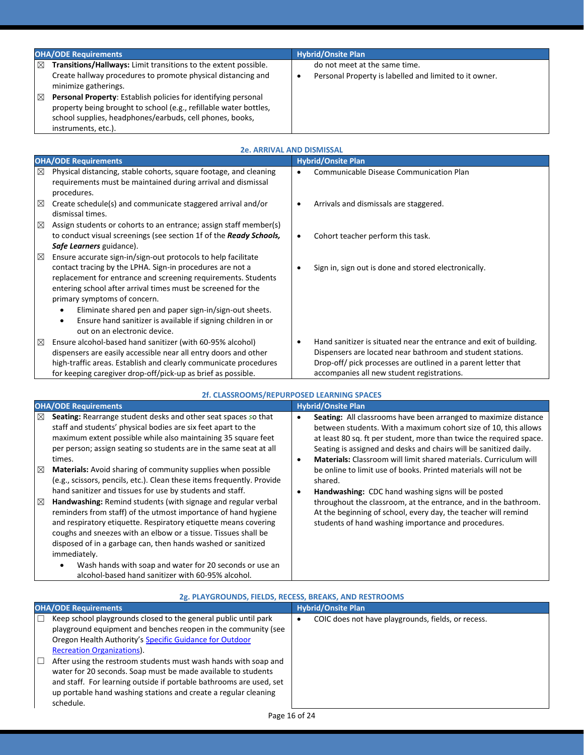| <b>OHA/ODE Requirements</b>                                                                                                                                                                                                                                                                                                                                                                           | <b>Hybrid/Onsite Plan</b>                                                                    |
|-------------------------------------------------------------------------------------------------------------------------------------------------------------------------------------------------------------------------------------------------------------------------------------------------------------------------------------------------------------------------------------------------------|----------------------------------------------------------------------------------------------|
| Transitions/Hallways: Limit transitions to the extent possible.<br>$\boxtimes$<br>Create hallway procedures to promote physical distancing and<br>minimize gatherings.<br>冈<br>Personal Property: Establish policies for identifying personal<br>property being brought to school (e.g., refillable water bottles,<br>school supplies, headphones/earbuds, cell phones, books,<br>instruments, etc.). | do not meet at the same time.<br>Personal Property is labelled and limited to it owner.<br>٠ |

|             | <b>2e. ARRIVAL AND DISMISSAL</b>                                                                                                                                                                                                                                                                                                                                                                                                                                    |           |                                                                                                                                                                                                                                                 |  |
|-------------|---------------------------------------------------------------------------------------------------------------------------------------------------------------------------------------------------------------------------------------------------------------------------------------------------------------------------------------------------------------------------------------------------------------------------------------------------------------------|-----------|-------------------------------------------------------------------------------------------------------------------------------------------------------------------------------------------------------------------------------------------------|--|
|             | <b>OHA/ODE Requirements</b>                                                                                                                                                                                                                                                                                                                                                                                                                                         |           | <b>Hybrid/Onsite Plan</b>                                                                                                                                                                                                                       |  |
| ⊠           | Physical distancing, stable cohorts, square footage, and cleaning<br>requirements must be maintained during arrival and dismissal<br>procedures.                                                                                                                                                                                                                                                                                                                    | $\bullet$ | Communicable Disease Communication Plan                                                                                                                                                                                                         |  |
| $\boxtimes$ | Create schedule(s) and communicate staggered arrival and/or<br>dismissal times.                                                                                                                                                                                                                                                                                                                                                                                     |           | Arrivals and dismissals are staggered.                                                                                                                                                                                                          |  |
| $\boxtimes$ | Assign students or cohorts to an entrance; assign staff member(s)                                                                                                                                                                                                                                                                                                                                                                                                   |           |                                                                                                                                                                                                                                                 |  |
|             | to conduct visual screenings (see section 1f of the Ready Schools,<br>Safe Learners guidance).                                                                                                                                                                                                                                                                                                                                                                      | $\bullet$ | Cohort teacher perform this task.                                                                                                                                                                                                               |  |
| $\boxtimes$ | Ensure accurate sign-in/sign-out protocols to help facilitate<br>contact tracing by the LPHA. Sign-in procedures are not a<br>replacement for entrance and screening requirements. Students<br>entering school after arrival times must be screened for the<br>primary symptoms of concern.<br>Eliminate shared pen and paper sign-in/sign-out sheets.<br>Ensure hand sanitizer is available if signing children in or<br>$\bullet$<br>out on an electronic device. |           | Sign in, sign out is done and stored electronically.                                                                                                                                                                                            |  |
| $\boxtimes$ | Ensure alcohol-based hand sanitizer (with 60-95% alcohol)<br>dispensers are easily accessible near all entry doors and other<br>high-traffic areas. Establish and clearly communicate procedures<br>for keeping caregiver drop-off/pick-up as brief as possible.                                                                                                                                                                                                    |           | Hand sanitizer is situated near the entrance and exit of building.<br>Dispensers are located near bathroom and student stations.<br>Drop-off/ pick processes are outlined in a parent letter that<br>accompanies all new student registrations. |  |

| 2f. CLASSROOMS/REPURPOSED LEARNING SPACES                                                                                                                                                                                                                                                                                                                                                                                                                                                                                                                                                                                                                                                                                                                                                                                                                                                                                 |                                                                                                                                                                                                                                                                                                                                                                                                                                                                                                                                                                                                                                                                                                            |  |
|---------------------------------------------------------------------------------------------------------------------------------------------------------------------------------------------------------------------------------------------------------------------------------------------------------------------------------------------------------------------------------------------------------------------------------------------------------------------------------------------------------------------------------------------------------------------------------------------------------------------------------------------------------------------------------------------------------------------------------------------------------------------------------------------------------------------------------------------------------------------------------------------------------------------------|------------------------------------------------------------------------------------------------------------------------------------------------------------------------------------------------------------------------------------------------------------------------------------------------------------------------------------------------------------------------------------------------------------------------------------------------------------------------------------------------------------------------------------------------------------------------------------------------------------------------------------------------------------------------------------------------------------|--|
| <b>OHA/ODE Requirements</b>                                                                                                                                                                                                                                                                                                                                                                                                                                                                                                                                                                                                                                                                                                                                                                                                                                                                                               | <b>Hybrid/Onsite Plan</b>                                                                                                                                                                                                                                                                                                                                                                                                                                                                                                                                                                                                                                                                                  |  |
| Seating: Rearrange student desks and other seat spaces so that<br>⊠<br>staff and students' physical bodies are six feet apart to the<br>maximum extent possible while also maintaining 35 square feet<br>per person; assign seating so students are in the same seat at all<br>times.<br>Materials: Avoid sharing of community supplies when possible<br>⊠<br>(e.g., scissors, pencils, etc.). Clean these items frequently. Provide<br>hand sanitizer and tissues for use by students and staff.<br>Handwashing: Remind students (with signage and regular verbal<br>⊠<br>reminders from staff) of the utmost importance of hand hygiene<br>and respiratory etiquette. Respiratory etiquette means covering<br>coughs and sneezes with an elbow or a tissue. Tissues shall be<br>disposed of in a garbage can, then hands washed or sanitized<br>immediately.<br>Wash hands with soap and water for 20 seconds or use an | <b>Seating:</b> All classrooms have been arranged to maximize distance<br>between students. With a maximum cohort size of 10, this allows<br>at least 80 sq. ft per student, more than twice the required space.<br>Seating is assigned and desks and chairs will be sanitized daily.<br><b>Materials:</b> Classroom will limit shared materials. Curriculum will<br>٠<br>be online to limit use of books. Printed materials will not be<br>shared.<br>Handwashing: CDC hand washing signs will be posted<br>٠<br>throughout the classroom, at the entrance, and in the bathroom.<br>At the beginning of school, every day, the teacher will remind<br>students of hand washing importance and procedures. |  |
| alcohol-based hand sanitizer with 60-95% alcohol.                                                                                                                                                                                                                                                                                                                                                                                                                                                                                                                                                                                                                                                                                                                                                                                                                                                                         |                                                                                                                                                                                                                                                                                                                                                                                                                                                                                                                                                                                                                                                                                                            |  |

| Zg. PLATONOONDS, FIELDS, NECESS, DNEANS, AND NESTNOONIS                                                                                                                                                                                                                                                                                                                                                                                                                                                                                |                                                    |  |
|----------------------------------------------------------------------------------------------------------------------------------------------------------------------------------------------------------------------------------------------------------------------------------------------------------------------------------------------------------------------------------------------------------------------------------------------------------------------------------------------------------------------------------------|----------------------------------------------------|--|
| <b>OHA/ODE Requirements</b>                                                                                                                                                                                                                                                                                                                                                                                                                                                                                                            | <b>Hybrid/Onsite Plan</b>                          |  |
| Keep school playgrounds closed to the general public until park<br>L<br>playground equipment and benches reopen in the community (see<br>Oregon Health Authority's Specific Guidance for Outdoor<br><b>Recreation Organizations).</b><br>After using the restroom students must wash hands with soap and<br>H.<br>water for 20 seconds. Soap must be made available to students<br>and staff. For learning outside if portable bathrooms are used, set<br>up portable hand washing stations and create a regular cleaning<br>schedule. | COIC does not have playgrounds, fields, or recess. |  |

### **2g. PLAYGROUNDS, FIELDS, RECESS, BREAKS, AND RESTROOMS**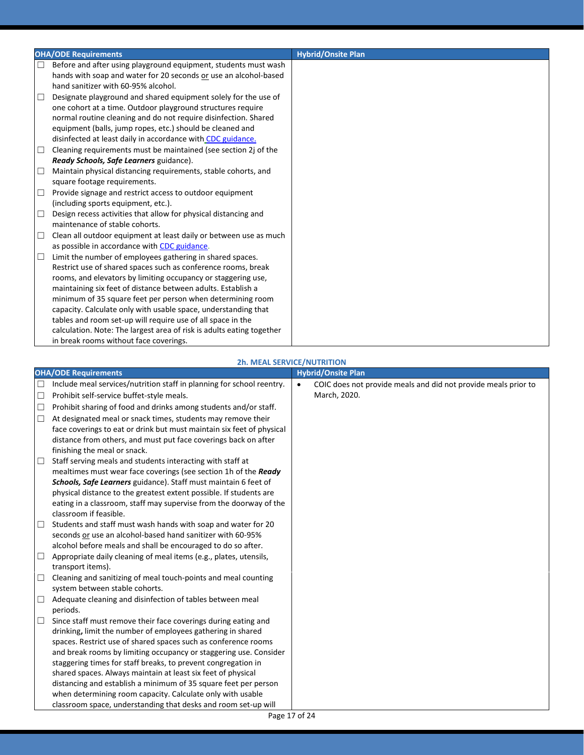|        | <b>OHA/ODE Requirements</b>                                           | <b>Hybrid/Onsite Plan</b> |
|--------|-----------------------------------------------------------------------|---------------------------|
| $\Box$ | Before and after using playground equipment, students must wash       |                           |
|        | hands with soap and water for 20 seconds or use an alcohol-based      |                           |
|        | hand sanitizer with 60-95% alcohol.                                   |                           |
| □      | Designate playground and shared equipment solely for the use of       |                           |
|        | one cohort at a time. Outdoor playground structures require           |                           |
|        | normal routine cleaning and do not require disinfection. Shared       |                           |
|        | equipment (balls, jump ropes, etc.) should be cleaned and             |                           |
|        | disinfected at least daily in accordance with CDC guidance.           |                           |
| □      | Cleaning requirements must be maintained (see section 2j of the       |                           |
|        | Ready Schools, Safe Learners guidance).                               |                           |
| □      | Maintain physical distancing requirements, stable cohorts, and        |                           |
|        | square footage requirements.                                          |                           |
| $\Box$ | Provide signage and restrict access to outdoor equipment              |                           |
|        | (including sports equipment, etc.).                                   |                           |
| □      | Design recess activities that allow for physical distancing and       |                           |
|        | maintenance of stable cohorts.                                        |                           |
| □      | Clean all outdoor equipment at least daily or between use as much     |                           |
|        | as possible in accordance with CDC guidance.                          |                           |
| $\Box$ | Limit the number of employees gathering in shared spaces.             |                           |
|        | Restrict use of shared spaces such as conference rooms, break         |                           |
|        | rooms, and elevators by limiting occupancy or staggering use,         |                           |
|        | maintaining six feet of distance between adults. Establish a          |                           |
|        | minimum of 35 square feet per person when determining room            |                           |
|        | capacity. Calculate only with usable space, understanding that        |                           |
|        | tables and room set-up will require use of all space in the           |                           |
|        | calculation. Note: The largest area of risk is adults eating together |                           |
|        | in break rooms without face coverings.                                |                           |

|                                                                                                                                                                                                                                                                                                                                                                                                                                                                                                                                                  | <b>2h. MEAL SERVICE/NUTRITION</b>                                                           |
|--------------------------------------------------------------------------------------------------------------------------------------------------------------------------------------------------------------------------------------------------------------------------------------------------------------------------------------------------------------------------------------------------------------------------------------------------------------------------------------------------------------------------------------------------|---------------------------------------------------------------------------------------------|
| <b>OHA/ODE Requirements</b>                                                                                                                                                                                                                                                                                                                                                                                                                                                                                                                      | <b>Hybrid/Onsite Plan</b>                                                                   |
| Include meal services/nutrition staff in planning for school reentry.<br>$\Box$<br>Prohibit self-service buffet-style meals.<br>□<br>Prohibit sharing of food and drinks among students and/or staff.<br>$\Box$                                                                                                                                                                                                                                                                                                                                  | COIC does not provide meals and did not provide meals prior to<br>$\bullet$<br>March, 2020. |
| At designated meal or snack times, students may remove their<br>$\Box$<br>face coverings to eat or drink but must maintain six feet of physical<br>distance from others, and must put face coverings back on after<br>finishing the meal or snack.                                                                                                                                                                                                                                                                                               |                                                                                             |
| Staff serving meals and students interacting with staff at<br>$\Box$<br>mealtimes must wear face coverings (see section 1h of the Ready<br>Schools, Safe Learners guidance). Staff must maintain 6 feet of<br>physical distance to the greatest extent possible. If students are<br>eating in a classroom, staff may supervise from the doorway of the<br>classroom if feasible.                                                                                                                                                                 |                                                                                             |
| Students and staff must wash hands with soap and water for 20<br>$\Box$<br>seconds or use an alcohol-based hand sanitizer with 60-95%<br>alcohol before meals and shall be encouraged to do so after.                                                                                                                                                                                                                                                                                                                                            |                                                                                             |
| Appropriate daily cleaning of meal items (e.g., plates, utensils,<br>$\Box$<br>transport items).                                                                                                                                                                                                                                                                                                                                                                                                                                                 |                                                                                             |
| Cleaning and sanitizing of meal touch-points and meal counting<br>$\Box$<br>system between stable cohorts.                                                                                                                                                                                                                                                                                                                                                                                                                                       |                                                                                             |
| Adequate cleaning and disinfection of tables between meal<br>$\Box$<br>periods.                                                                                                                                                                                                                                                                                                                                                                                                                                                                  |                                                                                             |
| Since staff must remove their face coverings during eating and<br>$\Box$<br>drinking, limit the number of employees gathering in shared<br>spaces. Restrict use of shared spaces such as conference rooms<br>and break rooms by limiting occupancy or staggering use. Consider<br>staggering times for staff breaks, to prevent congregation in<br>shared spaces. Always maintain at least six feet of physical<br>distancing and establish a minimum of 35 square feet per person<br>when determining room capacity. Calculate only with usable |                                                                                             |
| classroom space, understanding that desks and room set-up will                                                                                                                                                                                                                                                                                                                                                                                                                                                                                   |                                                                                             |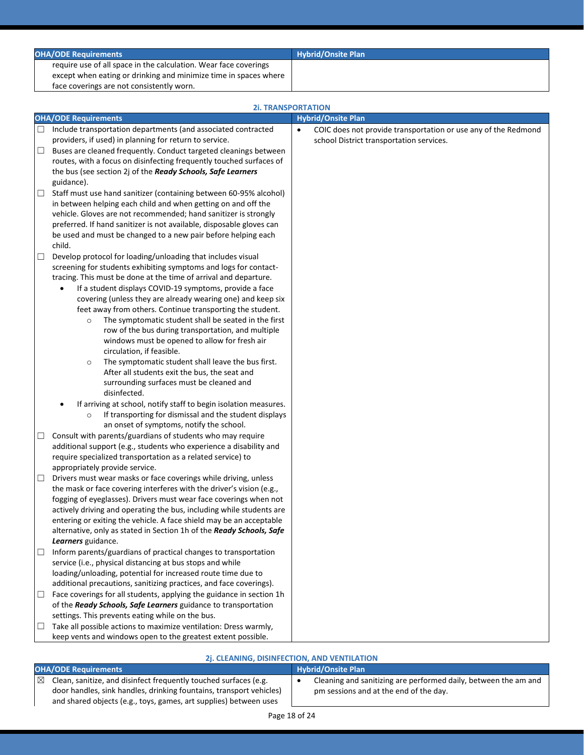|        | <b>OHA/ODE Requirements</b>                                                                                                               | <b>Hybrid/Onsite Plan</b>                                                   |
|--------|-------------------------------------------------------------------------------------------------------------------------------------------|-----------------------------------------------------------------------------|
|        | require use of all space in the calculation. Wear face coverings                                                                          |                                                                             |
|        | except when eating or drinking and minimize time in spaces where                                                                          |                                                                             |
|        | face coverings are not consistently worn.                                                                                                 |                                                                             |
|        | <b>2i. TRANSPORTATION</b>                                                                                                                 |                                                                             |
|        | <b>OHA/ODE Requirements</b>                                                                                                               | <b>Hybrid/Onsite Plan</b>                                                   |
| $\Box$ | Include transportation departments (and associated contracted                                                                             | COIC does not provide transportation or use any of the Redmond<br>$\bullet$ |
|        | providers, if used) in planning for return to service.                                                                                    | school District transportation services.                                    |
| $\Box$ | Buses are cleaned frequently. Conduct targeted cleanings between                                                                          |                                                                             |
|        | routes, with a focus on disinfecting frequently touched surfaces of                                                                       |                                                                             |
|        | the bus (see section 2j of the Ready Schools, Safe Learners<br>guidance).                                                                 |                                                                             |
| $\Box$ | Staff must use hand sanitizer (containing between 60-95% alcohol)                                                                         |                                                                             |
|        | in between helping each child and when getting on and off the                                                                             |                                                                             |
|        | vehicle. Gloves are not recommended; hand sanitizer is strongly                                                                           |                                                                             |
|        | preferred. If hand sanitizer is not available, disposable gloves can                                                                      |                                                                             |
|        | be used and must be changed to a new pair before helping each                                                                             |                                                                             |
|        | child.                                                                                                                                    |                                                                             |
| $\Box$ | Develop protocol for loading/unloading that includes visual                                                                               |                                                                             |
|        | screening for students exhibiting symptoms and logs for contact-<br>tracing. This must be done at the time of arrival and departure.      |                                                                             |
|        | If a student displays COVID-19 symptoms, provide a face<br>$\bullet$                                                                      |                                                                             |
|        | covering (unless they are already wearing one) and keep six                                                                               |                                                                             |
|        | feet away from others. Continue transporting the student.                                                                                 |                                                                             |
|        | The symptomatic student shall be seated in the first<br>$\circ$                                                                           |                                                                             |
|        | row of the bus during transportation, and multiple                                                                                        |                                                                             |
|        | windows must be opened to allow for fresh air<br>circulation, if feasible.                                                                |                                                                             |
|        | The symptomatic student shall leave the bus first.<br>$\circ$                                                                             |                                                                             |
|        | After all students exit the bus, the seat and                                                                                             |                                                                             |
|        | surrounding surfaces must be cleaned and                                                                                                  |                                                                             |
|        | disinfected.                                                                                                                              |                                                                             |
|        | If arriving at school, notify staff to begin isolation measures.                                                                          |                                                                             |
|        | If transporting for dismissal and the student displays<br>$\circ$<br>an onset of symptoms, notify the school.                             |                                                                             |
| ш      | Consult with parents/guardians of students who may require                                                                                |                                                                             |
|        | additional support (e.g., students who experience a disability and                                                                        |                                                                             |
|        | require specialized transportation as a related service) to                                                                               |                                                                             |
|        | appropriately provide service.                                                                                                            |                                                                             |
| □      | Drivers must wear masks or face coverings while driving, unless                                                                           |                                                                             |
|        | the mask or face covering interferes with the driver's vision (e.g.,<br>fogging of eyeglasses). Drivers must wear face coverings when not |                                                                             |
|        | actively driving and operating the bus, including while students are                                                                      |                                                                             |
|        | entering or exiting the vehicle. A face shield may be an acceptable                                                                       |                                                                             |
|        | alternative, only as stated in Section 1h of the Ready Schools, Safe                                                                      |                                                                             |
|        | Learners guidance.                                                                                                                        |                                                                             |
| $\Box$ | Inform parents/guardians of practical changes to transportation                                                                           |                                                                             |
|        | service (i.e., physical distancing at bus stops and while                                                                                 |                                                                             |
|        | loading/unloading, potential for increased route time due to<br>additional precautions, sanitizing practices, and face coverings).        |                                                                             |
| $\Box$ | Face coverings for all students, applying the guidance in section 1h                                                                      |                                                                             |
|        | of the Ready Schools, Safe Learners guidance to transportation                                                                            |                                                                             |
|        | settings. This prevents eating while on the bus.                                                                                          |                                                                             |
| $\Box$ | Take all possible actions to maximize ventilation: Dress warmly,                                                                          |                                                                             |
|        | keep vents and windows open to the greatest extent possible.                                                                              |                                                                             |
|        | 21 CLEANING DISINFECTION AND VENTILATION                                                                                                  |                                                                             |

### **2j. CLEANING, DISINFECTION, AND VENTILATION**

- **OHA/ODE Requirements Hybrid/Onsite Plan**
- $\boxtimes$  Clean, sanitize, and disinfect frequently touched surfaces (e.g. door handles, sink handles, drinking fountains, transport vehicles) and shared objects (e.g., toys, games, art supplies) between uses
- Cleaning and sanitizing are performed daily, between the am and pm sessions and at the end of the day.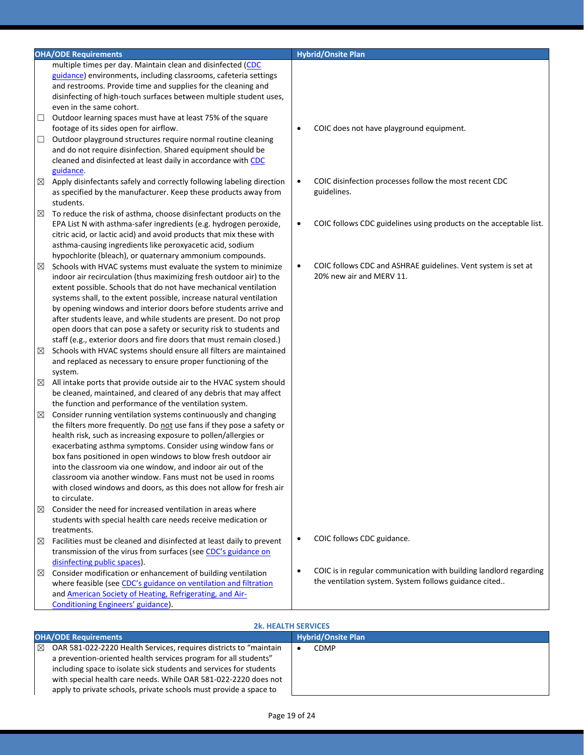|               | <b>OHA/ODE Requirements</b>                                                                                                           |           | <b>Hybrid/Onsite Plan</b>                                          |
|---------------|---------------------------------------------------------------------------------------------------------------------------------------|-----------|--------------------------------------------------------------------|
|               | multiple times per day. Maintain clean and disinfected (CDC                                                                           |           |                                                                    |
|               | guidance) environments, including classrooms, cafeteria settings                                                                      |           |                                                                    |
|               | and restrooms. Provide time and supplies for the cleaning and                                                                         |           |                                                                    |
|               | disinfecting of high-touch surfaces between multiple student uses,                                                                    |           |                                                                    |
|               | even in the same cohort.                                                                                                              |           |                                                                    |
| Ц             | Outdoor learning spaces must have at least 75% of the square                                                                          |           |                                                                    |
|               | footage of its sides open for airflow.                                                                                                | $\bullet$ | COIC does not have playground equipment.                           |
| □             | Outdoor playground structures require normal routine cleaning                                                                         |           |                                                                    |
|               | and do not require disinfection. Shared equipment should be                                                                           |           |                                                                    |
|               | cleaned and disinfected at least daily in accordance with CDC                                                                         |           |                                                                    |
| guidance.     |                                                                                                                                       |           |                                                                    |
| ⊠             | Apply disinfectants safely and correctly following labeling direction                                                                 | $\bullet$ | COIC disinfection processes follow the most recent CDC             |
|               | as specified by the manufacturer. Keep these products away from                                                                       |           | guidelines.                                                        |
| students.     |                                                                                                                                       |           |                                                                    |
| ⊠             | To reduce the risk of asthma, choose disinfectant products on the                                                                     |           |                                                                    |
|               | EPA List N with asthma-safer ingredients (e.g. hydrogen peroxide,                                                                     | $\bullet$ | COIC follows CDC guidelines using products on the acceptable list. |
|               | citric acid, or lactic acid) and avoid products that mix these with                                                                   |           |                                                                    |
|               | asthma-causing ingredients like peroxyacetic acid, sodium                                                                             |           |                                                                    |
|               | hypochlorite (bleach), or quaternary ammonium compounds.                                                                              | $\bullet$ | COIC follows CDC and ASHRAE guidelines. Vent system is set at      |
| ⊠             | Schools with HVAC systems must evaluate the system to minimize<br>indoor air recirculation (thus maximizing fresh outdoor air) to the |           | 20% new air and MERV 11.                                           |
|               | extent possible. Schools that do not have mechanical ventilation                                                                      |           |                                                                    |
|               | systems shall, to the extent possible, increase natural ventilation                                                                   |           |                                                                    |
|               | by opening windows and interior doors before students arrive and                                                                      |           |                                                                    |
|               | after students leave, and while students are present. Do not prop                                                                     |           |                                                                    |
|               | open doors that can pose a safety or security risk to students and                                                                    |           |                                                                    |
|               | staff (e.g., exterior doors and fire doors that must remain closed.)                                                                  |           |                                                                    |
| ⊠             | Schools with HVAC systems should ensure all filters are maintained                                                                    |           |                                                                    |
|               | and replaced as necessary to ensure proper functioning of the                                                                         |           |                                                                    |
| system.       |                                                                                                                                       |           |                                                                    |
| ⊠             | All intake ports that provide outside air to the HVAC system should                                                                   |           |                                                                    |
|               | be cleaned, maintained, and cleared of any debris that may affect                                                                     |           |                                                                    |
|               | the function and performance of the ventilation system.                                                                               |           |                                                                    |
| ⊠             | Consider running ventilation systems continuously and changing                                                                        |           |                                                                    |
|               | the filters more frequently. Do not use fans if they pose a safety or                                                                 |           |                                                                    |
|               | health risk, such as increasing exposure to pollen/allergies or                                                                       |           |                                                                    |
|               | exacerbating asthma symptoms. Consider using window fans or                                                                           |           |                                                                    |
|               | box fans positioned in open windows to blow fresh outdoor air<br>into the classroom via one window, and indoor air out of the         |           |                                                                    |
|               | classroom via another window. Fans must not be used in rooms                                                                          |           |                                                                    |
|               | with closed windows and doors, as this does not allow for fresh air                                                                   |           |                                                                    |
| to circulate. |                                                                                                                                       |           |                                                                    |
| ⊠             | Consider the need for increased ventilation in areas where                                                                            |           |                                                                    |
|               | students with special health care needs receive medication or                                                                         |           |                                                                    |
| treatments.   |                                                                                                                                       |           |                                                                    |
| ⊠             | Facilities must be cleaned and disinfected at least daily to prevent                                                                  | $\bullet$ | COIC follows CDC guidance.                                         |
|               | transmission of the virus from surfaces (see CDC's guidance on                                                                        |           |                                                                    |
|               | disinfecting public spaces).                                                                                                          |           |                                                                    |
| ⊠             | Consider modification or enhancement of building ventilation                                                                          | $\bullet$ | COIC is in regular communication with building landlord regarding  |
|               | where feasible (see CDC's guidance on ventilation and filtration                                                                      |           | the ventilation system. System follows guidance cited              |
|               | and American Society of Heating, Refrigerating, and Air-                                                                              |           |                                                                    |
|               | Conditioning Engineers' guidance).                                                                                                    |           |                                                                    |

## **2k. HEALTH SERVICES**

| <b>OHA/ODE Requirements</b>                                                                                                                                                                                                                                                                                                                             | <b>Hybrid/Onsite Plan</b> |
|---------------------------------------------------------------------------------------------------------------------------------------------------------------------------------------------------------------------------------------------------------------------------------------------------------------------------------------------------------|---------------------------|
| OAR 581-022-2220 Health Services, requires districts to "maintain<br>⊠<br>a prevention-oriented health services program for all students"<br>including space to isolate sick students and services for students<br>with special health care needs. While OAR 581-022-2220 does not<br>apply to private schools, private schools must provide a space to | CDMP                      |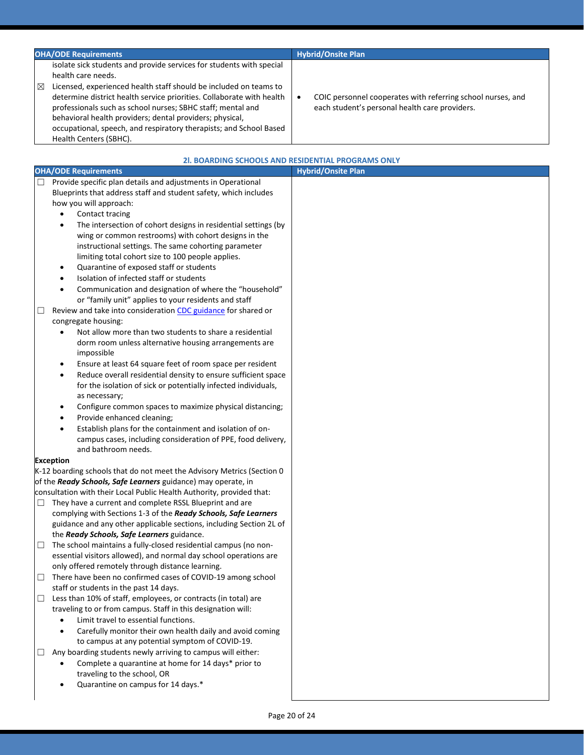| <b>OHA/ODE Requirements</b>                                                                                                                                                                                                                                                                                                                                                                                                                                              | <b>Hybrid/Onsite Plan</b>                                                                                                  |
|--------------------------------------------------------------------------------------------------------------------------------------------------------------------------------------------------------------------------------------------------------------------------------------------------------------------------------------------------------------------------------------------------------------------------------------------------------------------------|----------------------------------------------------------------------------------------------------------------------------|
| isolate sick students and provide services for students with special<br>health care needs.<br>Licensed, experienced health staff should be included on teams to<br>X<br>determine district health service priorities. Collaborate with health<br>professionals such as school nurses; SBHC staff; mental and<br>behavioral health providers; dental providers; physical,<br>occupational, speech, and respiratory therapists; and School Based<br>Health Centers (SBHC). | COIC personnel cooperates with referring school nurses, and<br>$\bullet$<br>each student's personal health care providers. |

|   | 21. BOARDING SCHOOLS AND RESIDENTIAL PROGRAMS ONLY                                                                                   |                           |
|---|--------------------------------------------------------------------------------------------------------------------------------------|---------------------------|
|   | <b>OHA/ODE Requirements</b>                                                                                                          | <b>Hybrid/Onsite Plan</b> |
|   | Provide specific plan details and adjustments in Operational                                                                         |                           |
|   | Blueprints that address staff and student safety, which includes                                                                     |                           |
|   | how you will approach:                                                                                                               |                           |
|   | Contact tracing<br>$\bullet$                                                                                                         |                           |
|   | The intersection of cohort designs in residential settings (by<br>$\bullet$                                                          |                           |
|   | wing or common restrooms) with cohort designs in the                                                                                 |                           |
|   | instructional settings. The same cohorting parameter                                                                                 |                           |
|   | limiting total cohort size to 100 people applies.                                                                                    |                           |
|   | Quarantine of exposed staff or students<br>$\bullet$                                                                                 |                           |
|   | Isolation of infected staff or students                                                                                              |                           |
|   | Communication and designation of where the "household"<br>$\bullet$                                                                  |                           |
|   | or "family unit" applies to your residents and staff                                                                                 |                           |
| ⊔ | Review and take into consideration CDC guidance for shared or                                                                        |                           |
|   | congregate housing:                                                                                                                  |                           |
|   | Not allow more than two students to share a residential<br>$\bullet$                                                                 |                           |
|   | dorm room unless alternative housing arrangements are<br>impossible                                                                  |                           |
|   | Ensure at least 64 square feet of room space per resident<br>٠                                                                       |                           |
|   | Reduce overall residential density to ensure sufficient space<br>$\bullet$                                                           |                           |
|   | for the isolation of sick or potentially infected individuals,                                                                       |                           |
|   | as necessary;                                                                                                                        |                           |
|   | Configure common spaces to maximize physical distancing;<br>$\bullet$                                                                |                           |
|   | Provide enhanced cleaning;<br>٠                                                                                                      |                           |
|   | Establish plans for the containment and isolation of on-                                                                             |                           |
|   | campus cases, including consideration of PPE, food delivery,                                                                         |                           |
|   | and bathroom needs.                                                                                                                  |                           |
|   | <b>Exception</b>                                                                                                                     |                           |
|   | K-12 boarding schools that do not meet the Advisory Metrics (Section 0                                                               |                           |
|   | of the Ready Schools, Safe Learners guidance) may operate, in                                                                        |                           |
|   | consultation with their Local Public Health Authority, provided that:                                                                |                           |
| ⊔ | They have a current and complete RSSL Blueprint and are                                                                              |                           |
|   | complying with Sections 1-3 of the Ready Schools, Safe Learners                                                                      |                           |
|   | guidance and any other applicable sections, including Section 2L of                                                                  |                           |
|   | the Ready Schools, Safe Learners guidance.                                                                                           |                           |
| ⊔ | The school maintains a fully-closed residential campus (no non-<br>essential visitors allowed), and normal day school operations are |                           |
|   | only offered remotely through distance learning.                                                                                     |                           |
| □ | There have been no confirmed cases of COVID-19 among school                                                                          |                           |
|   | staff or students in the past 14 days.                                                                                               |                           |
| ப | Less than 10% of staff, employees, or contracts (in total) are                                                                       |                           |
|   | traveling to or from campus. Staff in this designation will:                                                                         |                           |
|   | Limit travel to essential functions.<br>$\bullet$                                                                                    |                           |
|   | Carefully monitor their own health daily and avoid coming<br>$\bullet$                                                               |                           |
|   | to campus at any potential symptom of COVID-19.                                                                                      |                           |
| ⊔ | Any boarding students newly arriving to campus will either:                                                                          |                           |
|   | Complete a quarantine at home for 14 days* prior to<br>$\bullet$                                                                     |                           |
|   | traveling to the school, OR                                                                                                          |                           |
|   | Quarantine on campus for 14 days.*                                                                                                   |                           |
|   |                                                                                                                                      |                           |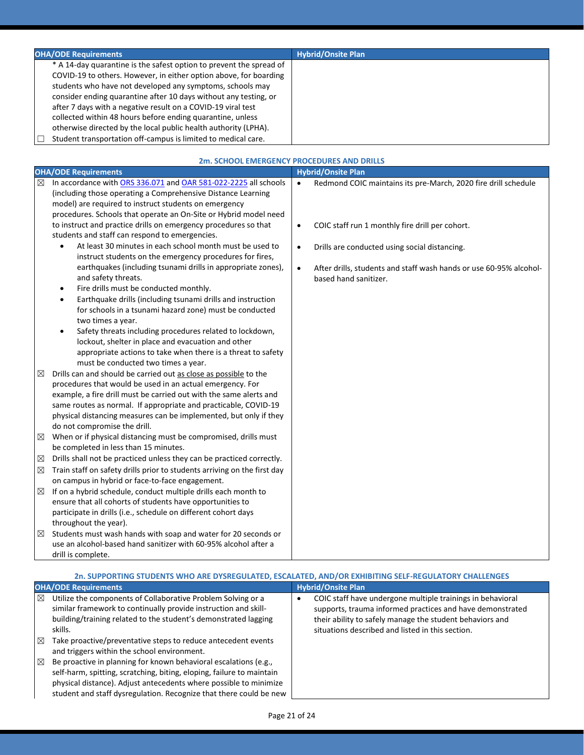| <b>OHA/ODE Requirements</b>                                                                                                                                                                                                                                                                                                                                                                                                                                                                                                                 | <b>Hybrid/Onsite Plan</b> |
|---------------------------------------------------------------------------------------------------------------------------------------------------------------------------------------------------------------------------------------------------------------------------------------------------------------------------------------------------------------------------------------------------------------------------------------------------------------------------------------------------------------------------------------------|---------------------------|
| * A 14-day quarantine is the safest option to prevent the spread of<br>COVID-19 to others. However, in either option above, for boarding<br>students who have not developed any symptoms, schools may<br>consider ending quarantine after 10 days without any testing, or<br>after 7 days with a negative result on a COVID-19 viral test<br>collected within 48 hours before ending quarantine, unless<br>otherwise directed by the local public health authority (LPHA).<br>Student transportation off-campus is limited to medical care. |                           |

|   | 2m. SCHOOL EMERGENCY PROCEDURES AND DRILLS                                                                                                                                                                                                                                                                                                                                  |           |                                                                                             |  |
|---|-----------------------------------------------------------------------------------------------------------------------------------------------------------------------------------------------------------------------------------------------------------------------------------------------------------------------------------------------------------------------------|-----------|---------------------------------------------------------------------------------------------|--|
|   | <b>OHA/ODE Requirements</b>                                                                                                                                                                                                                                                                                                                                                 |           | <b>Hybrid/Onsite Plan</b>                                                                   |  |
| ⊠ | In accordance with ORS 336.071 and OAR 581-022-2225 all schools<br>(including those operating a Comprehensive Distance Learning<br>model) are required to instruct students on emergency<br>procedures. Schools that operate an On-Site or Hybrid model need                                                                                                                | $\bullet$ | Redmond COIC maintains its pre-March, 2020 fire drill schedule                              |  |
|   | to instruct and practice drills on emergency procedures so that<br>students and staff can respond to emergencies.                                                                                                                                                                                                                                                           | $\bullet$ | COIC staff run 1 monthly fire drill per cohort.                                             |  |
|   | At least 30 minutes in each school month must be used to<br>$\bullet$<br>instruct students on the emergency procedures for fires,                                                                                                                                                                                                                                           | $\bullet$ | Drills are conducted using social distancing.                                               |  |
|   | earthquakes (including tsunami drills in appropriate zones),<br>and safety threats.<br>Fire drills must be conducted monthly.<br>٠                                                                                                                                                                                                                                          | $\bullet$ | After drills, students and staff wash hands or use 60-95% alcohol-<br>based hand sanitizer. |  |
|   | Earthquake drills (including tsunami drills and instruction<br>$\bullet$<br>for schools in a tsunami hazard zone) must be conducted<br>two times a year.                                                                                                                                                                                                                    |           |                                                                                             |  |
|   | Safety threats including procedures related to lockdown,<br>$\bullet$<br>lockout, shelter in place and evacuation and other<br>appropriate actions to take when there is a threat to safety<br>must be conducted two times a year.                                                                                                                                          |           |                                                                                             |  |
| ⊠ | Drills can and should be carried out as close as possible to the<br>procedures that would be used in an actual emergency. For<br>example, a fire drill must be carried out with the same alerts and<br>same routes as normal. If appropriate and practicable, COVID-19<br>physical distancing measures can be implemented, but only if they<br>do not compromise the drill. |           |                                                                                             |  |
| ⊠ | When or if physical distancing must be compromised, drills must<br>be completed in less than 15 minutes.                                                                                                                                                                                                                                                                    |           |                                                                                             |  |
| ⊠ | Drills shall not be practiced unless they can be practiced correctly.                                                                                                                                                                                                                                                                                                       |           |                                                                                             |  |
| ⊠ | Train staff on safety drills prior to students arriving on the first day<br>on campus in hybrid or face-to-face engagement.                                                                                                                                                                                                                                                 |           |                                                                                             |  |
| ⊠ | If on a hybrid schedule, conduct multiple drills each month to<br>ensure that all cohorts of students have opportunities to<br>participate in drills (i.e., schedule on different cohort days<br>throughout the year).                                                                                                                                                      |           |                                                                                             |  |
| ⊠ | Students must wash hands with soap and water for 20 seconds or<br>use an alcohol-based hand sanitizer with 60-95% alcohol after a<br>drill is complete.                                                                                                                                                                                                                     |           |                                                                                             |  |

| 2n. SUPPORTING STUDENTS WHO ARE DYSREGULATED, ESCALATED, AND/OR EXHIBITING SELF-REGULATORY CHALLENGES |  |
|-------------------------------------------------------------------------------------------------------|--|
|-------------------------------------------------------------------------------------------------------|--|

| <b>OHA/ODE Requirements</b>                                                                                                                                                                                                                                                                         | <b>Hybrid/Onsite Plan</b>                                                                                                                                                                                                                    |  |
|-----------------------------------------------------------------------------------------------------------------------------------------------------------------------------------------------------------------------------------------------------------------------------------------------------|----------------------------------------------------------------------------------------------------------------------------------------------------------------------------------------------------------------------------------------------|--|
| Utilize the components of Collaborative Problem Solving or a<br>$\boxtimes$<br>similar framework to continually provide instruction and skill-<br>building/training related to the student's demonstrated lagging<br>skills.                                                                        | COIC staff have undergone multiple trainings in behavioral<br>٠<br>supports, trauma informed practices and have demonstrated<br>their ability to safely manage the student behaviors and<br>situations described and listed in this section. |  |
| Take proactive/preventative steps to reduce antecedent events<br>区<br>and triggers within the school environment.                                                                                                                                                                                   |                                                                                                                                                                                                                                              |  |
| Be proactive in planning for known behavioral escalations (e.g.,<br>$\boxtimes$<br>self-harm, spitting, scratching, biting, eloping, failure to maintain<br>physical distance). Adjust antecedents where possible to minimize<br>student and staff dysregulation. Recognize that there could be new |                                                                                                                                                                                                                                              |  |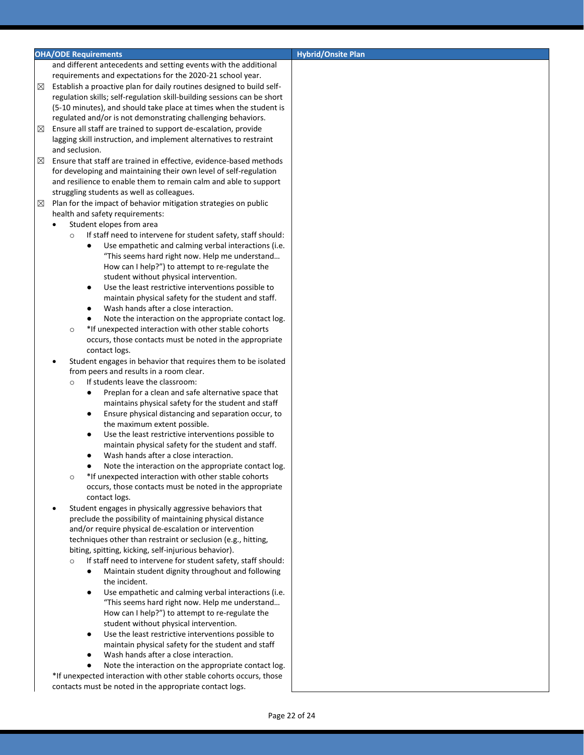### **OHA/ODE Requirements CONSIDERATION CONSIDERING THE CONSIDERING TO A REPORT OF A REPORT OF A REPORT OF A REPORT OF A REPORT OF A REPORT OF A REPORT OF A REPORT OF A REPORT OF A REPORT OF A REPORT OF A REPORT OF A REPORT**

and different antecedents and setting events with the additional requirements and expectations for the 2020-21 school year.

- $\boxtimes$  Establish a proactive plan for daily routines designed to build selfregulation skills; self-regulation skill-building sessions can be short (5-10 minutes), and should take place at times when the student is regulated and/or is not demonstrating challenging behaviors.
- $\boxtimes$  Ensure all staff are trained to support de-escalation, provide lagging skill instruction, and implement alternatives to restraint and seclusion.
- $\boxtimes$  Ensure that staff are trained in effective, evidence-based methods for developing and maintaining their own level of self-regulation and resilience to enable them to remain calm and able to support struggling students as well as colleagues.
- $\boxtimes$  Plan for the impact of behavior mitigation strategies on public health and safety requirements:
	- Student elopes from area
		- o If staff need to intervene for student safety, staff should:
			- Use empathetic and calming verbal interactions (i.e. "This seems hard right now. Help me understand… How can I help?") to attempt to re-regulate the student without physical intervention.
			- Use the least restrictive interventions possible to maintain physical safety for the student and staff.
			- Wash hands after a close interaction.
			- Note the interaction on the appropriate contact log.
		- o \*If unexpected interaction with other stable cohorts occurs, those contacts must be noted in the appropriate contact logs.
	- Student engages in behavior that requires them to be isolated from peers and results in a room clear.
		- If students leave the classroom:
			- Preplan for a clean and safe alternative space that maintains physical safety for the student and staff
			- Ensure physical distancing and separation occur, to the maximum extent possible.
			- Use the least restrictive interventions possible to maintain physical safety for the student and staff.
			- Wash hands after a close interaction.
			- Note the interaction on the appropriate contact log.
		- o \*If unexpected interaction with other stable cohorts occurs, those contacts must be noted in the appropriate contact logs.
	- Student engages in physically aggressive behaviors that preclude the possibility of maintaining physical distance and/or require physical de-escalation or intervention techniques other than restraint or seclusion (e.g., hitting, biting, spitting, kicking, self-injurious behavior).
		- If staff need to intervene for student safety, staff should:
			- Maintain student dignity throughout and following the incident.
			- Use empathetic and calming verbal interactions (i.e. "This seems hard right now. Help me understand… How can I help?") to attempt to re-regulate the student without physical intervention.
			- Use the least restrictive interventions possible to maintain physical safety for the student and staff
			- Wash hands after a close interaction.

Note the interaction on the appropriate contact log. \*If unexpected interaction with other stable cohorts occurs, those contacts must be noted in the appropriate contact logs.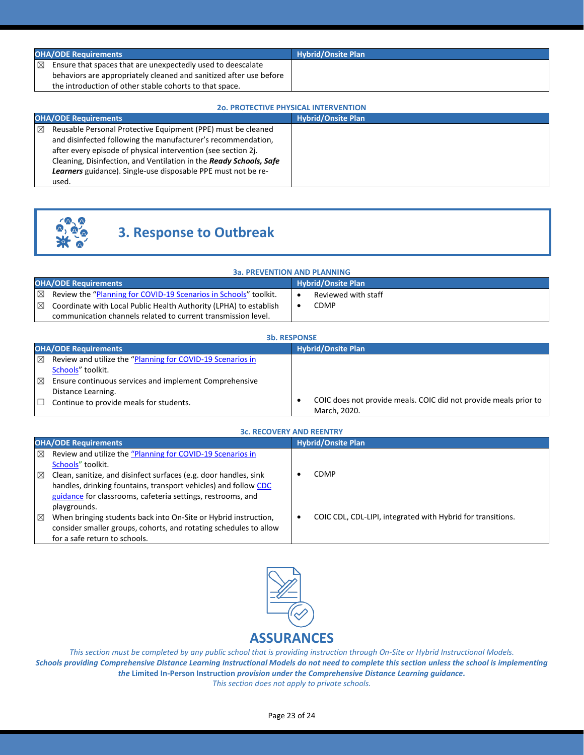| <b>OHA/ODE Requirements</b>                                                | <b>Hybrid/Onsite Plan</b> |
|----------------------------------------------------------------------------|---------------------------|
| $\boxtimes$<br>Ensure that spaces that are unexpectedly used to deescalate |                           |
| behaviors are appropriately cleaned and sanitized after use before         |                           |
| the introduction of other stable cohorts to that space.                    |                           |

### **2o. PROTECTIVE PHYSICAL INTERVENTION**

| <b>OHA/ODE Requirements</b>                                                                                                                                                                                                                                                                                                                               | <b>Hybrid/Onsite Plan</b> |
|-----------------------------------------------------------------------------------------------------------------------------------------------------------------------------------------------------------------------------------------------------------------------------------------------------------------------------------------------------------|---------------------------|
| ⊠<br>Reusable Personal Protective Equipment (PPE) must be cleaned<br>and disinfected following the manufacturer's recommendation,<br>after every episode of physical intervention (see section 2j.<br>Cleaning, Disinfection, and Ventilation in the Ready Schools, Safe<br><b>Learners</b> guidance). Single-use disposable PPE must not be re-<br>used. |                           |



# **3. Response to Outbreak**

| <b>3a. PREVENTION AND PLANNING</b> |                                                                   |                           |                     |  |
|------------------------------------|-------------------------------------------------------------------|---------------------------|---------------------|--|
| <b>OHA/ODE Requirements</b>        |                                                                   | <b>Hybrid/Onsite Plan</b> |                     |  |
| 冈                                  | Review the "Planning for COVID-19 Scenarios in Schools" toolkit.  |                           | Reviewed with staff |  |
| X                                  | Coordinate with Local Public Health Authority (LPHA) to establish |                           | CDMP                |  |
|                                    | communication channels related to current transmission level.     |                           |                     |  |

| <b>3b. RESPONSE</b>                                                                                                                                    |                                                                                  |  |  |
|--------------------------------------------------------------------------------------------------------------------------------------------------------|----------------------------------------------------------------------------------|--|--|
| <b>OHA/ODE Requirements</b>                                                                                                                            | Hybrid/Onsite Plan                                                               |  |  |
| Review and utilize the "Planning for COVID-19 Scenarios in<br>$\boxtimes$<br>Schools" toolkit.                                                         |                                                                                  |  |  |
| $\boxtimes$<br>Ensure continuous services and implement Comprehensive<br>Distance Learning.<br>Continue to provide meals for students.<br>$\mathbf{1}$ | COIC does not provide meals. COIC did not provide meals prior to<br>March, 2020. |  |  |

|             | <b>3c. RECOVERY AND REENTRY</b>                                                                                                                                                                                    |                           |                                                             |
|-------------|--------------------------------------------------------------------------------------------------------------------------------------------------------------------------------------------------------------------|---------------------------|-------------------------------------------------------------|
|             | <b>OHA/ODE Requirements</b>                                                                                                                                                                                        | <b>Hybrid/Onsite Plan</b> |                                                             |
| $\boxtimes$ | Review and utilize the "Planning for COVID-19 Scenarios in<br>Schools" toolkit.                                                                                                                                    |                           |                                                             |
| $\boxtimes$ | Clean, sanitize, and disinfect surfaces (e.g. door handles, sink<br>handles, drinking fountains, transport vehicles) and follow CDC<br>guidance for classrooms, cafeteria settings, restrooms, and<br>playgrounds. |                           | CDMP                                                        |
| $\boxtimes$ | When bringing students back into On-Site or Hybrid instruction,<br>consider smaller groups, cohorts, and rotating schedules to allow<br>for a safe return to schools.                                              | ٠                         | COIC CDL, CDL-LIPI, integrated with Hybrid for transitions. |



*This section must be completed by any public school that is providing instruction through On-Site or Hybrid Instructional Models. Schools providing Comprehensive Distance Learning Instructional Models do not need to complete this section unless the school is implementing the* **Limited In-Person Instruction** *provision under the Comprehensive Distance Learning guidance. This section does not apply to private schools.*